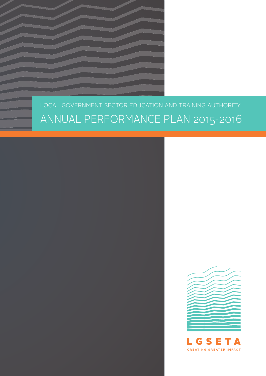### LOCAL GOVERNMENT SECTOR EDUCATION AND TRAINING AUTHORITY ANNUAL PERFORMANCE PLAN 2015-2016



**CREATING GREATER IMPACT**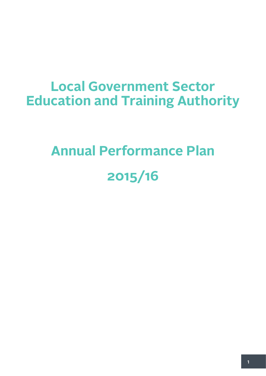### **Local Government Sector Education and Training Authority**

### **Annual Performance Plan 2015/16**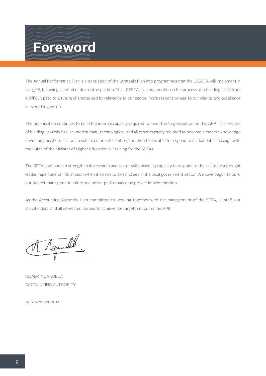### **Foreword**

The Annual Performance Plan is a translation of the Strategic Plan into programmes that the LGSETA will implement in 2015/16, following a period of deep introspection. The LGSETA is an organisation in the process of rebuilding itself, from a difficult past, to a future characterised by relevance to our sector, more responsiveness to our clients, and excellence in everything we do.

The organisation continues to build the internal capacity required to meet the targets set out in this APP. This process of building capacity has included human, technological and all other capacity required to become a modern knowledge driven organisation. This will result in a more efficient organisation that is able to respond to its mandate, and align with the vision of the Minister of Higher Education & Training for the SETAs.

The SETA continues to strengthen its research and sector skills planning capacity to respond to the call to be a thought leader, repertoire of information when it comes to skill matters in the local government sector. We have begun to build our project management unit to see better performance on project implementation.

As the Accounting Authority I am committed to working together with the management of the SETA, all staff, our stakeholders, and all interested parties, to achieve the targets set out in this APP.

Ngandel  $\blacksquare$ 

NQABA NQANDELA ACCOUNTING AUTHORITY

14 November 2014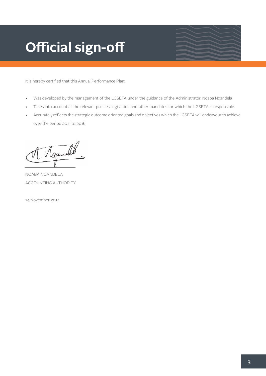### **Official sign-off**

It is hereby certified that this Annual Performance Plan:

- Was developed by the management of the LGSETA under the guidance of the Administrator, Nqaba Nqandela
- • Takes into account all the relevant policies, legislation and other mandates for which the LGSETA is responsible
- Accurately reflects the strategic outcome oriented goals and objectives which the LGSETA will endeavour to achieve over the period 2011 to 2016

Ngandel \_\_\_\_\_\_\_\_\_\_\_\_\_\_\_\_\_\_\_\_\_\_\_

NQABA NQANDELA ACCOUNTING AUTHORITY

14 November 2014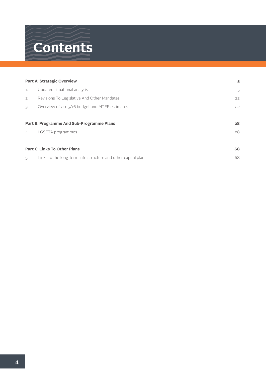### **Contents**

|            | <b>Part A: Strategic Overview</b>                             | 5  |
|------------|---------------------------------------------------------------|----|
| 1.         | Updated situational analysis                                  | 5  |
| 2.         | Revisions To Legislative And Other Mandates                   | 22 |
| 3.         | Overview of 2015/16 budget and MTEF estimates                 | 22 |
|            |                                                               |    |
|            | Part B: Programme And Sub-Programme Plans                     | 28 |
| $\Delta$ . | LGSETA programmes                                             | 28 |
|            |                                                               |    |
|            | <b>Part C: Links To Other Plans</b>                           | 68 |
| 5.         | Links to the long-term infrastructure and other capital plans | 68 |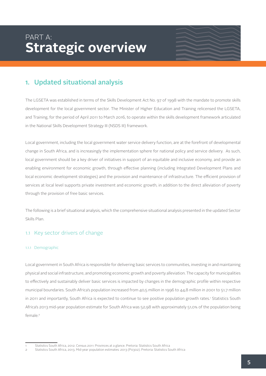### PART A: **Strategic overview**

#### 1. Updated situational analysis

The LGSETA was established in terms of the Skills Development Act No. 97 of 1998 with the mandate to promote skills development for the local government sector. The Minister of Higher Education and Training relicensed the LGSETA, and Training, for the period of April 2011 to March 2016, to operate within the skills development framework articulated in the National Skills Development Strategy III (NSDS III) framework.

Local government, including the local government water service delivery function, are at the forefront of developmental change in South Africa, and is increasingly the implementation sphere for national policy and service delivery. As such, local government should be a key driver of initiatives in support of an equitable and inclusive economy, and provide an enabling environment for economic growth, through effective planning (including Integrated Development Plans and local economic development strategies) and the provision and maintenance of infrastructure. The efficient provision of services at local level supports private investment and economic growth, in addition to the direct alleviation of poverty through the provision of free basic services.

The following is a brief situational analysis, which the comprehensive situational analysis presented in the updated Sector Skills Plan.

#### 1.1 Key sector drivers of change

#### 1.1.1 Demographic

Local government in South Africa is responsible for delivering basic services to communities, investing in and maintaining physical and social infrastructure, and promoting economic growth and poverty alleviation. The capacity for municipalities to effectively and sustainably deliver basic services is impacted by changes in the demographic profile within respective municipal boundaries. South Africa's population increased from 40,5 million in 1996 to 44,8 million in 2001 to 51,7 million in 2011 and importantly, South Africa is expected to continue to see positive population growth rates.' Statistics South Africa's 2013 mid-year population estimate for South Africa was 52,98 with approximately 51,0% of the population being female.<sup>2</sup>

<sup>1</sup> Statistics South Africa, 2012. Census 2011: Provinces at a glance. Pretoria: Statistics South Africa

<sup>2</sup> Statistics South Africa, 2013. Mid-year population estimates: 2013 (P0302). Pretoria: Statistics South Africa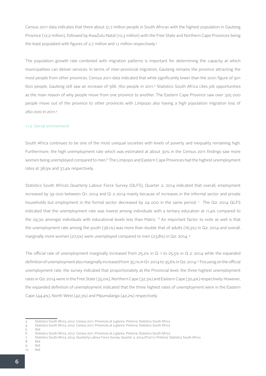Census 2011 data indicates that there about 51,7 million people in South African with the highest population in Gauteng Province (12,2 million), followed by KwaZulu-Natal (10,3 million) with the Free State and Northern Cape Provinces being the least populated with figures of 2.7 million and 1.1 million respectively.<sup>3</sup>

The population growth rate combined with migration patterns is important for determining the capacity at which municipalities can deliver services. In terms of inter-provincial migration, Gauteng remains the province attracting the most people from other provinces. Census 2011 data indicated that while significantly lower than the 2001 figure of 901 600 people, Gauteng still saw an increase of 566 760 people in 2011.4 Statistics South Africa cites job opportunities as the main reason of why people move from one province to another. The Eastern Cape Province saw over 325 000 people move out of the province to other provinces with Limpopo also having a high population migration loss of 260 000 in 2011.5

#### 1.1.2 Social environment

South Africa continues to be one of the most unequal societies with levels of poverty and inequality remaining high. Furthermore, the high unemployment rate which was estimated at about 30% in the Census 2011 findings saw more women being unemployed compared to men.6 The Limpopo and Eastern Cape Provinces had the highest unemployment rates at 38,9% and 37,4% respectively.

Statistics South Africa's Quarterly Labour Force Survey (QLFS), Quarter 2, 2014 indicated that overall, employment increased by 39 000 between Q1: 2014 and Q: 2 2014 mainly because of increases in the informal sector and private households but employment in the formal sector decreased by 24 000 in the same period. 7 The Q2: 2014 QLFS indicated that the unemployment rate was lowest among individuals with a tertiary education at 11,4% compared to the 29,3% amongst individuals with educational levels less than Matric. 8 An important factor to note as well is that the unemployment rate among the youth (36,1%) was more than double that of adults (16,3%) in Q2: 2014 and overall, marginally more women (27,5%) were unemployed compared to men (23,8%) in Q2: 2014. 9

The official rate of unemployment marginally increased from 25,2% in Q: 1 to 25,5% in Q 2: 2014 while the expanded definition of unemployment also marginally increased from 35,1% in Q1: 2014 to 35,6% in Q2: 2014.10 Focusing on the official unemployment rate, the survey indicated that proportionately at the Provincial level, the three highest unemployment rates in Q2: 2014 were in the Free State (35,0%), Northern Cape (32,3%) and Eastern Cape (30,4%) respectively. However, the expanded definition of unemployment indicated that the three highest rates of unemployment were in the Eastern Cape (44,4%), North West (42,3%) and Mpumalanga (42,2%) respectively.

<sup>3</sup> Statistics South Africa, 2012. Census 2011: Provinces at a glance. Pretoria: Statistics South Africa

<sup>4</sup> Statistics South Africa, 2012. Census 2011: Provinces at a glance. Pretoria: Statistics South Africa

<sup>5</sup> Ibid. 6 Statistics South Africa, 2012. Census 2011: Provinces at a glance. Pretoria: Statistics South Africa

<sup>7</sup> Statistics South Africa, 2014. Quarterly Labour Force Survey, Quarter 2, 2014 (P0211). Pretoria: Statistics South Africa

<sup>8</sup> Ibid

<sup>9</sup> Ibid 10 Ibid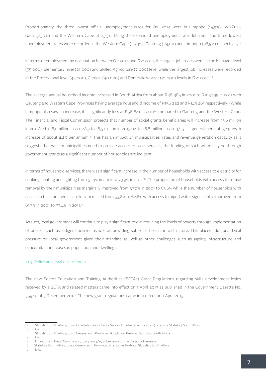Proportionately, the three lowest official unemployment rates for Q2: 2014 were in Limpopo (15,9%), KwaZulu-Natal (23,7%) and the Western Cape at 23,5%. Using the expanded unemployment rate definition, the three lowest unemployment rates were recorded in the Western Cape (25,4%), Gauteng (29,0%) and Limpopo (36,9%) respectively.<sup>11</sup>

In terms of employment by occupation between Q1: 2014 and Q2: 2014, the largest job losses were at the Manager level (55 000), Elementary level (21 000) and Skilled Agriculture (7 000) level while the largest job increases were recorded at the Professional level (45 000), Clerical (40 000) and Domestic worker (21 000) levels in Q2: 2014. 12

The average annual household income increased in South Africa from about R48 385 in 2001 to R103 195 in 2011 with Gauteng and Western Cape Provinces having average household income of R156 222 and R143 461 respectively.<sup>13</sup> While Limpopo also saw an increase, it is significantly less at R56 841 in 2011<sup>14</sup> compared to Gauteng and the Western Cape. The Financial and Fiscal Commission projects that number of social grants beneficiaries will increase from 15,6 million in 2011/12 to 16,1 million in 2012/13 to 16,5 million in 2013/14 to 16,8 million in 2014/15 – a general percentage growth increase of about 4,2% per annum.15 This has an impact on municipalities' rates and revenue generation capacity as it suggests that while municipalities need to provide access to basic services, the funding of such will mainly be through government grants as a significant number of households are indigent.

In terms of household services, there was a significant increase in the number of households with access to electricity for cooking, heating and lighting from 51,4% in 2001 to 73,9% in 2011.<sup>16</sup> The proportion of households with access to refuse removal by their municipalities marginally improved from 57,0% in 2001 to 63,6% while the number of households with access to flush or chemical toilets increased from 53,8% to 62,6% with access to piped water significantly improved from 61,3% in 2001 to 73,4% in 2011.17

As such, local government will continue to play a significant role in reducing the levels of poverty through implementation of policies such as indigent policies as well as providing subsidised social infrastructure. This places additional fiscal pressure on local government given their mandate as well as other challenges such as ageing infrastructure and concomitant increases in population and dwellings.

#### 1.1.3 Policy and legal environment

The new Sector Education and Training Authorities (SETAs) Grant Regulations regarding skills development levies received by a SETA and related matters came into effect on 1 April 2013 as published in the Government Gazette No. 35940 of 3 December 2012. The new grant regulations came into effect on 1 April 2013.

<sup>11</sup> Statistics South Africa, 2014. Quarterly Labour Force Survey, Quarter 2, 2014 (P0211). Pretoria: Statistics South Africa

<sup>12</sup> Ibid

<sup>13</sup> Statistics South Africa, 2012. Census 2011: Provinces at a glance. Pretoria: Statistics South Africa

 $14$  Ibid.

<sup>15</sup> Financial and Fiscal Commission, 2013. 2014/15 Submission for the division of revenue

<sup>16</sup> Statistics South Africa, 2012. Census 2011: Provinces at a glance. Pretoria: Statistics South Africa

<sup>17</sup> Ibid.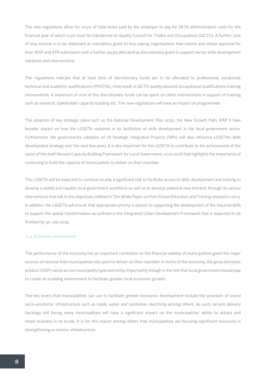The new regulations allow for 10,5% of total levies paid by the employer to pay for SETA administration costs for the financial year of which 0,5% must be transferred to Quality Council for Trades and Occupations (QCTO). A further 20% of levy income is to be disbursed as mandatory grant to levy paying organisations that submit and obtain approval for their WSP and ATR submission with a further 49,5% allocated as discretionary grant to support sector skills development initiatives and interventions.

The regulations indicate that at least 80% of discretionary funds are to be allocated to professional, vocational, technical and academic qualifications (PIVOTAL) that result in QCTO quality assured occupational qualifications training interventions. A maximum of 20% of the discretionary funds can be spent on other interventions in support of training such as research, stakeholder capacity building etc. The new regulations will have an impact on programmes.

The adoption of key strategic plans such as the National Development Plan 2030, the New Growth Path, IPAP II have broader impact on how the LGSETA responds in its facilitation of skills development in the local government sector. Furthermore, the government's adoption of 18 Strategic Integrated Projects (SIPs) will also influence LGSETA's skills development strategy over the next few years. It is also important for the LGSETA to contribute to the achievement of the vision of the draft Revised Capacity Building Framework for Local Government: 2012-2016 that highlights the importance of continuing to build the capacity of municipalities to deliver on their mandate.

The LGSETA will be expected to continue to play a significant role to facilitate access to skills development and training to develop a skilled and capable local government workforce as well as to develop potential new entrants through its various interventions that talk to the objectives outlined in The White Paper on Post-School Education and Training released in 2013. In addition, the LGSETA will ensure that appropriate priority is placed on supporting the development of the required skills to support the spatial transformation as outlined in the Integrated Urban Development Framework that is expected to be finalised by 30 July 2014.

#### 1.1.4 Economic environment

The performance of the economy has an important correlation to the financial viability of municipalities given the major sources of revenue that municipalities rely upon to deliver on their mandate. In terms of the economy, the gross domestic product (GDP) varies across municipality type and entity. Importantly though is the role that local government should play to create an enabling environment to facilitate greater local economic growth.

The key levers that municipalities can use to facilitate greater economic development include the provision of sound socio-economic infrastructure such as roads, water and sanitation, electricity among others. As such, service delivery backlogs still facing many municipalities will have a significant impact on the municipalities' ability to attract and retain business in its locale. It is for this reason among others that municipalities are focusing significant resources in strengthening economic infrastructure.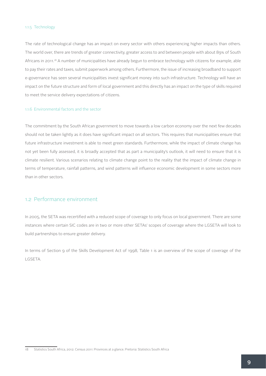#### 1.1.5 Technology

The rate of technological change has an impact on every sector with others experiencing higher impacts than others. The world over, there are trends of greater connectivity, greater access to and between people with about 89% of South Africans in 2011.<sup>18</sup> A number of municipalities have already begun to embrace technology with citizens for example, able to pay their rates and taxes, submit paperwork among others. Furthermore, the issue of increasing broadband to support e-governance has seen several municipalities invest significant money into such infrastructure. Technology will have an impact on the future structure and form of local government and this directly has an impact on the type of skills required to meet the service delivery expectations of citizens.

#### 1.1.6 Environmental factors and the sector

The commitment by the South African government to move towards a low carbon economy over the next few decades should not be taken lightly as it does have significant impact on all sectors. This requires that municipalities ensure that future infrastructure investment is able to meet green standards. Furthermore, while the impact of climate change has not yet been fully assessed, it is broadly accepted that as part a municipality's outlook, it will need to ensure that it is climate resilient. Various scenarios relating to climate change point to the reality that the impact of climate change in terms of temperature, rainfall patterns, and wind patterns will influence economic development in some sectors more than in other sectors.

#### 1.2 Performance environment

In 2005, the SETA was recertified with a reduced scope of coverage to only focus on local government. There are some instances where certain SIC codes are in two or more other SETAs' scopes of coverage where the LGSETA will look to build partnerships to ensure greater delivery.

In terms of Section 9 of the Skills Development Act of 1998, Table 1 is an overview of the scope of coverage of the LGSETA.

<sup>18</sup> Statistics South Africa, 2012. Census 2011: Provinces at a glance. Pretoria: Statistics South Africa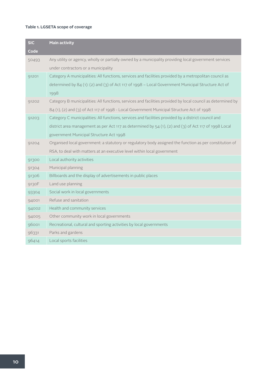#### **Table 1. LGSETA scope of coverage**

| <b>SIC</b> | <b>Main activity</b>                                                                                         |
|------------|--------------------------------------------------------------------------------------------------------------|
| Code       |                                                                                                              |
| 50493      | Any utility or agency, wholly or partially owned by a municipality providing local government services       |
|            | under contractors or a municipality                                                                          |
| 91201      | Category A municipalities: All functions, services and facilities provided by a metropolitan council as      |
|            | determined by 84 (1): (2) and (3) of Act 117 of 1998 - Local Government Municipal Structure Act of           |
|            | 1998                                                                                                         |
| 91202      | Category B municipalities: All functions, services and facilities provided by local council as determined by |
|            | 84 (1), (2) and (3) of Act 117 of 1998 - Local Government Municipal Structure Act of 1998                    |
| 91203      | Category C municipalities: All functions, services and facilities provided by a district council and         |
|            | district area management as per Act 117 as determined by $54$ (1), (2) and (3) of Act 117 of 1998 Local      |
|            | government Municipal Structure Act 1998                                                                      |
| 91204      | Organised local government: a statutory or regulatory body assigned the function as per constitution of      |
|            | RSA, to deal with matters at an executive level within local government                                      |
| 91300      | Local authority activities                                                                                   |
| 91304      | Municipal planning                                                                                           |
| 91306      | Billboards and the display of advertisements in public places                                                |
| 9130F      | Land use planning                                                                                            |
| 93304      | Social work in local governments                                                                             |
| 94001      | Refuse and sanitation                                                                                        |
| 94002      | Health and community services                                                                                |
| 94005      | Other community work in local governments                                                                    |
| 96001      | Recreational, cultural and sporting activities by local governments                                          |
| 96331      | Parks and gardens                                                                                            |
| 96414      | Local sports facilities                                                                                      |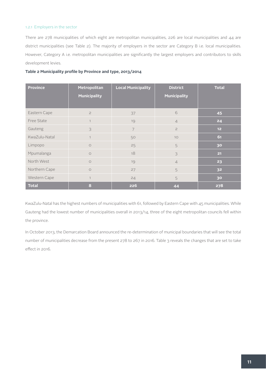#### 1.2.1 Employers in the sector

There are 278 municipalities of which eight are metropolitan municipalities, 226 are local municipalities and 44 are district municipalities (see Table 2). The majority of employers in the sector are Category B i.e. local municipalities. However, Category A i.e. metropolitan municipalities are significantly the largest employers and contributors to skills development levies.

| <b>Province</b> | Metropolitan        | <b>Local Municipality</b> | <b>District</b>     | <b>Total</b>    |
|-----------------|---------------------|---------------------------|---------------------|-----------------|
|                 | <b>Municipality</b> |                           | <b>Municipality</b> |                 |
|                 |                     |                           |                     |                 |
| Eastern Cape    | $\overline{c}$      | 37                        | 6                   | 45              |
| Free State      | $\mathbf{1}$        | 19                        | $\overline{4}$      | 24              |
| Gauteng         | 3                   | $\overline{7}$            | $\mathbf{Z}$        | 12 <sub>2</sub> |
| KwaZulu-Natal   | $\mathbf{1}$        | 50                        | 10                  | 61              |
| Limpopo         | $\circ$             | 25                        | 5                   | 30              |
| Mpumalanga      | $\circ$             | 18                        | 3                   | 21              |
| North West      | $\circ$             | 19                        | $\overline{4}$      | 23              |
| Northern Cape   | $\circ$             | 27                        | 5                   | 32              |
| Western Cape    | $\overline{1}$      | 24                        | 5                   | 30 <sub>o</sub> |
| <b>Total</b>    | 8                   | 226                       | 44                  | 278             |

KwaZulu-Natal has the highest numbers of municipalities with 61, followed by Eastern Cape with 45 municipalities. While Gauteng had the lowest number of municipalities overall in 2013/14, three of the eight metropolitan councils fell within the province.

In October 2013, the Demarcation Board announced the re-determination of municipal boundaries that will see the total number of municipalities decrease from the present 278 to 267 in 2016. Table 3 reveals the changes that are set to take effect in 2016.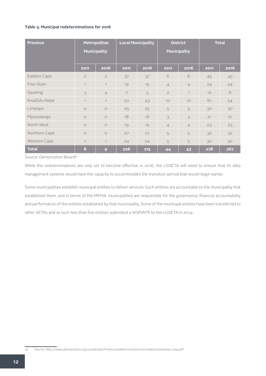#### **Table 3. Municipal redeterminations for 2016**

| <b>Province</b> | Metropolitan        |                |      | <b>Local Municipality</b> |                     | <b>District</b> |      | <b>Total</b> |  |
|-----------------|---------------------|----------------|------|---------------------------|---------------------|-----------------|------|--------------|--|
|                 | <b>Municipality</b> |                |      |                           | <b>Municipality</b> |                 |      |              |  |
|                 |                     |                |      |                           |                     |                 |      |              |  |
|                 | 2011                | 2016           | 2011 | 2016                      | 2011                | 2016            | 2011 | 2016         |  |
| Eastern Cape    | $\overline{c}$      | $\overline{c}$ | 37   | 37                        | 6                   | 6               | 45   | 45           |  |
| Free State      | $\mathbf{1}$        | $\mathbf{1}$   | 19   | 19                        | $\overline{4}$      | $\overline{4}$  | 24   | 24           |  |
| Gauteng         | 3                   | $\overline{4}$ | 7    | 3                         | $\overline{c}$      | $\mathbf{1}$    | 12   | 8            |  |
| KwaZulu-Natal   | $\mathbf{1}$        | $\mathbf{1}$   | 50   | 43                        | 10                  | 10              | 61   | 54           |  |
| Limpopo         | $\circ$             | $\circ$        | 25   | 25                        | 5                   | 5               | 30   | 30           |  |
| Mpumalanga      | $\circ$             | $\circ$        | 18   | 18                        | 3                   | 3               | 21   | 21           |  |
| North West      | $\circ$             | $\circ$        | 19   | 19                        | $\overline{4}$      | $\overline{4}$  | 23   | 23           |  |
| Northern Cape   | $\circ$             | $\circ$        | 27   | 27                        | 5                   | 5               | 32   | 32           |  |
| Western Cape    | $\mathbf{1}$        | $\mathbf{1}$   | 24   | 24                        | 5                   | 5               | 30   | 30           |  |
| <b>Total</b>    | 8                   | 9              | 226  | 215                       | 44                  | 43              | 278  | 267          |  |

*Source: Demarcation Board19*

While the redeterminations are only set to become effective in 2016, the LGSETA will need to ensure that its data management systems would have the capacity to accommodate the transition period that would begin earlier.

Some municipalities establish municipal entities to deliver services. Such entities are accountable to the municipality that established them, and in terms of the MFMA, municipalities are responsible for the governance, financial accountability and performance of the entities established by that municipality. Some of the municipal entities have been transferred to other SETAs and as such less than five entities submitted a WSP/ATR to the LGSETA in 2014.

<sup>19</sup> Source: http://www.demarcation.org.za/uploads/Final%20redetermination%20media%20release\_new.pdf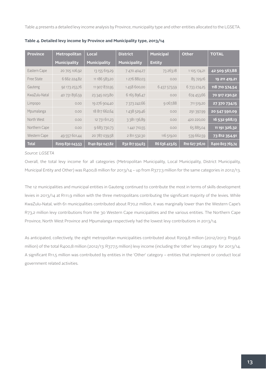Table 4 presents a detailed levy income analysis by Province, municipality type and other entities allocated to the LGSETA.

| <b>Province</b> | Metropolitan        | <b>District</b><br>Local |                     | <b>Municipal</b> | Other          | <b>TOTAL</b>    |
|-----------------|---------------------|--------------------------|---------------------|------------------|----------------|-----------------|
|                 | <b>Municipality</b> | <b>Municipality</b>      | <b>Municipality</b> | <b>Entity</b>    |                |                 |
| Eastern Cape    | 20 705 106,92       | 13 155 619,29            | 7 470 404,27        | 73 263,18        | 1 105 174,21   | 42 509 567,88   |
| Free State      | 6 662 224,82        | 11 186 583,20            | 1276 882,03         | 0.00             | 85 729,16      | 19 211 419,21   |
| Gauteng         | 92 173 253,76       | 11 907 872,95            | 1458 600,00         | 6 437 573,59     | 6 733 274,25   | 118 710 574,54  |
| KwaZulu-Natal   | 40 731 856,59       | 23 345 023,80            | 6 165 896,47        | 0.00             | 674 453,66     | 70 917 230,52   |
| Limpopo         | 0.00                | 19 276 904,40            | 7 373 242,66        | 9 067,88         | 711 519,20     | 27 370 734,15   |
| Mpumalanga      | 0.00                | 18 817 662,64            | 1 438 529,46        | 0.00             | 291 397,99     | 20 547 590,09   |
| North West      | 0.00                | 12 731 611,23            | 3 381 136,89        | 0.00             | 420 220,00     | 16 532 968,13   |
| Northern Cape   | 0.00                | 9 683 730,73             | 1 441 710,55        | 0.00             | 65 885,04      | 11 191 326,32   |
| Western Cape    | 49 557 601,44       | 20 787 039,58            | 2 811 532,30        | 116 519,00       | 539 662,59     | 73 812 354,91   |
| <b>Total</b>    | R209 830 043,53     | R140 892 047,82          | R32 817 934,63      | R6 636 423,65    | R10 627 316,10 | R400 803 765,74 |

**Table 4. Detailed levy income by Province and Municipality type, 2013/14**

#### *Source: LGSETA*

Overall, the total levy income for all categories (Metropolitan Municipality, Local Municipality, District Municipality, Municipal Entity and Other) was R400,8 million for 2013/14 – up from R377,3 million for the same categories in 2012/13.

The 12 municipalities and municipal entities in Gauteng continued to contribute the most in terms of skills development levies in 2013/14 at R111,9 million with the three metropolitans contributing the significant majority of the levies. While KwaZulu-Natal, with 61 municipalities contributed about R70,2 million, it was marginally lower than the Western Cape's R73,2 million levy contributions from the 30 Western Cape municipalities and the various entities. The Northern Cape Province, North West Province and Mpumalanga respectively had the lowest levy contributions in 2013/14.

As anticipated, collectively, the eight metropolitan municipalities contributed about R209,8 million (2012/2013: R199,6 million) of the total R400,8 million (2012/13: R377,5 million) levy income (including the 'other' levy category for 2013/14. A significant R11,5 million was contributed by entities in the 'Other' category – entities that implement or conduct local government related activities.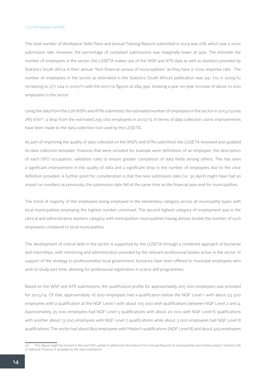#### 1.2.2 Employee profile

The total number of Workplace Skills Plans and Annual Training Reports submitted in 2014 was 278, which was a 100% submission rate. However, the percentage of compliant submissions was marginally lower at 94%. The estimate the number of employees in the sector, the LGSETA makes use of the WSP and ATR data as well as statistics provided by Statistics South Africa in their annual "Non-financial census of municipalities" as they have a 100% response rate. The number of employees in the sector as estimated in the Statistics South Africa's publication was 241 715 in 2009/10 increasing to 277 024 in 2010/11 with the 2011/12 figures at 284 990, showing a year-on-year increase of about 10 000 employees in the sector.

Using the data from the 278 WSPs and ATRs submitted, the estimated number of employees in the sector in 2013/14 was 265 00020, a drop from the estimated 295 000 employees in 2012/13. In terms of data collection, some improvements have been made to the data collection tool used by the LGSETA.

As part of improving the quality of data collected on the WSPs and ATRs submitted, the LGSETA reviewed and updated its data collection template. Features that were included for example were definitions of an employee, the description of each OFO occupation, validation rules to ensure greater completion of data fields among others. This has seen a significant improvement in the quality of data and a significant drop in the number of employees due to the clear definition provided. A further point for consideration is that the new submission date (i.e. 30 April) might have had an impact on numbers as previously, the submission date fell at the same time as the financial year-end for municipalities.

The trend of majority of the employees being employed in the elementary category across all municipality types with local municipalities employing the highest number continued. The second highest category of employment was in the clerical and administrative workers category with metropolitan municipalities having almost double the number of such employees compared to local municipalities.

The development of critical skills in the sector is supported by the LGSETA through a combined approach of bursaries and internships, with mentoring and administration provided by the relevant professional bodies active in the sector. In support of the strategy to professionalise local government, bursaries have been offered to municipal employees who wish to study part time, allowing for professional registration in scarce skill programmes.

Based on the WSP and ATR submissions, the qualification profile for approximately 205 000 employees was provided for 2013/14. Of that, approximately 16 000 employees had a qualification below the NQF Level 1 with about 23 500 employees with a qualification at the NQF Level 1 with about 105 000 with qualifications between NQF Level 2 and 4. Approximately 25 000 employees had NQF Level 5 qualifications with about 20 000 with NQF Level 6 qualifications with another about 13 000 employees with NQF Level 7 qualifications while about 3 000 employees had NQF Level 8 qualifications. The sector had about 850 employees with Master's qualifications (NQF Level 8) and about 425 employees

<sup>20</sup> This figure might be revised in the next SSP update if additional information from Annual Reports of municipalities and entities and/or Statistics SA or National Treasury if available by the next submission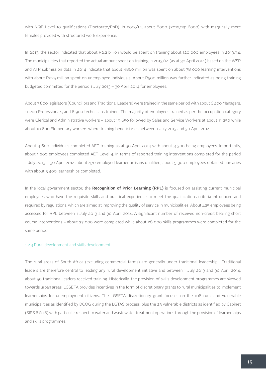with NQF Level 10 qualifications (Doctorate/PhD). In 2013/14, about 8000 (2012/13: 6000) with marginally more females provided with structured work experience.

In 2013, the sector indicated that about R2,2 billion would be spent on training about 120 000 employees in 2013/14. The municipalities that reported the actual amount spent on training in 2013/14 (as at 30 April 2014) based on the WSP and ATR submission data in 2014 indicate that about R860 million was spent on about 78 000 learning interventions with about R225 million spent on unemployed individuals. About R500 million was further indicated as being training budgeted committed for the period 1 July 2013 – 30 April 2014 for employees.

About 3 800 legislators (Councillors and Traditional Leaders) were trained in the same period with about 6 400 Managers, 11 200 Professionals, and 6 900 technicians trained. The majority of employees trained as per the occupation category were Clerical and Administrative workers – about 19 650 followed by Sales and Service Workers at about 11 250 while about 10 600 Elementary workers where training beneficiaries between 1 July 2013 and 30 April 2014.

About 4 600 individuals completed AET training as at 30 April 2014 with about 3 300 being employees. Importantly, about 1 200 employees completed AET Level 4. In terms of reported training interventions completed for the period 1 July 2013 – 30 April 2014, about 470 employed learner artisans qualified, about 5 300 employees obtained bursaries with about 5 400 learnerships completed.

In the local government sector, the **Recognition of Prior Learning (RPL)** is focused on assisting current municipal employees who have the requisite skills and practical experience to meet the qualifications criteria introduced and required by regulations, which are aimed at improving the quality of service in municipalities. About 425 employees being accessed for RPL between 1 July 2013 and 30 April 2014. A significant number of received non-credit bearing short course interventions – about 37 000 were completed while about 28 000 skills programmes were completed for the same period.

#### 1.2.3 Rural development and skills development

The rural areas of South Africa (excluding commercial farms) are generally under traditional leadership. Traditional leaders are therefore central to leading any rural development initiative and between 1 July 2013 and 30 April 2014, about 50 traditional leaders received training. Historically, the provision of skills development programmes are skewed towards urban areas. LGSETA provides incentives in the form of discretionary grants to rural municipalities to implement learnerships for unemployment citizens. The LGSETA discretionary grant focuses on the 108 rural and vulnerable municipalities as identified by DCOG during the LGTAS process, plus the 23 vulnerable districts as identified by Cabinet (SIPS 6 & 18) with particular respect to water and wastewater treatment operations through the provision of learnerships and skills programmes.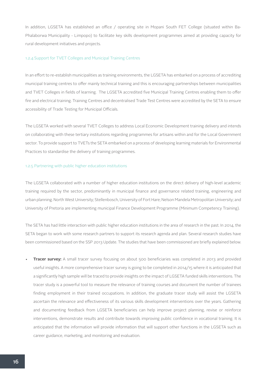In addition, LGSETA has established an office / operating site in Mopani South FET College (situated within Ba-Phalaborwa Municipality - Limpopo) to facilitate key skills development programmes aimed at providing capacity for rural development initiatives and projects.

#### 1.2.4 Support for TVET Colleges and Municipal Training Centres

In an effort to re-establish municipalities as training environments, the LGSETA has embarked on a process of accrediting municipal training centres to offer mainly technical training and this is encouraging partnerships between municipalities and TVET Colleges in fields of learning. The LGSETA accredited five Municipal Training Centres enabling them to offer fire and electrical training. Training Centres and decentralised Trade Test Centres were accredited by the SETA to ensure accessibility of Trade Testing for Municipal Officials.

The LGSETA worked with several TVET Colleges to address Local Economic Development training delivery and intends on collaborating with these tertiary institutions regarding programmes for artisans within and for the Local Government sector. To provide support to TVETs the SETA embarked on a process of developing learning materials for Environmental Practices to standardise the delivery of training programmes.

#### 1.2.5 Partnering with public higher education institutions

The LGSETA collaborated with a number of higher education institutions on the direct delivery of high-level academic training required by the sector, predominantly in municipal finance and governance related training, engineering and urban planning. North West University; Stellenbosch, University of Fort Hare; Nelson Mandela Metropolitan University; and University of Pretoria are implementing municipal Finance Development Programme (Minimum Competency Training).

The SETA has had little interaction with public higher education institutions in the area of research in the past. In 2014, the SETA began to work with some research partners to support its research agenda and plan. Several research studies have been commissioned based on the SSP 2013 Update. The studies that have been commissioned are briefly explained below.

**Tracer survey:** A small tracer survey focusing on about 500 beneficiaries was completed in 2013 and provided useful insights. A more comprehensive tracer survey is going to be completed in 2014/15 where it is anticipated that a significantly high sample will be traced to provide insights on the impact of LGSETA funded skills interventions. The tracer study is a powerful tool to measure the relevance of training courses and document the number of trainees finding employment in their trained occupations. In addition, the graduate tracer study will assist the LGSETA ascertain the relevance and effectiveness of its various skills development interventions over the years. Gathering and documenting feedback from LGSETA beneficiaries can help improve project planning, revise or reinforce interventions, demonstrate results and contribute towards improving public confidence in vocational training. It is anticipated that the information will provide information that will support other functions in the LGSETA such as career guidance, marketing, and monitoring and evaluation.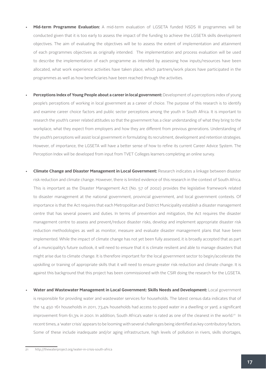- Mid-term Programme Evaluation: A mid-term evaluation of LGSETA funded NSDS III programmes will be conducted given that it is too early to assess the impact of the funding to achieve the LGSETA skills development objectives. The aim of evaluating the objectives will be to assess the extent of implementation and attainment of each programmes objectives as originally intended. The implementation and process evaluation will be used to describe the implementation of each programme as intended by assessing how inputs/resources have been allocated, what work experience activities have taken place, which partners/work places have participated in the programmes as well as how beneficiaries have been reached through the activities.
- Perceptions Index of Young People about a career in local government: Development of a perceptions index of young people's perceptions of working in local government as a career of choice. The purpose of this research is to identify and examine career choice factors and public sector perceptions among the youth in South Africa. It is important to research the youth's career related attitudes so that the government has a clear understanding of what they bring to the workplace, what they expect from employers and how they are different from previous generations. Understanding of the youth's perceptions will assist local government in formulating its recruitment, development and retention strategies. However, of importance, the LGSETA will have a better sense of how to refine its current Career Advice System. The Perception Index will be developed from input from TVET Colleges learners completing an online survey.
- • **Climate Change and Disaster Management in Local Government:** Research indicates a linkage between disaster risk reduction and climate change. However, there is limited evidence of this research in the context of South Africa. This is important as the Disaster Management Act (No. 57 of 2002) provides the legislative framework related to disaster management at the national government, provincial government, and local government contexts. Of importance is that the Act requires that each Metropolitan and District Municipality establish a disaster management centre that has several powers and duties. In terms of prevention and mitigation, the Act requires the disaster management centre to assess and prevent/reduce disaster risks, develop and implement appropriate disaster risk reduction methodologies as well as monitor, measure and evaluate disaster management plans that have been implemented. While the impact of climate change has not yet been fully assessed, it is broadly accepted that as part of a municipality's future outlook, it will need to ensure that it is climate resilient and able to manage disasters that might arise due to climate change. It is therefore important for the local government sector to begin/accelerate the upskilling or training of appropriate skills that it will need to ensure greater risk reduction and climate change. It is against this background that this project has been commissioned with the CSIR doing the research for the LGSETA.
- • **Water and Wastewater Management in Local Government: Skills Needs and Development:** Local government is responsible for providing water and wastewater services for households. The latest census data indicates that of the 14 450 161 households in 2011, 73,4% households had access to piped water in a dwelling or yard, a significant improvement from 61,3% in 2001. In addition, South Africa's water is rated as one of the cleanest in the world.21 In recent times, a 'water crisis' appears to be looming with several challenges being identified as key contributory factors. Some of these include inadequate and/or aging infrastructure, high levels of pollution in rivers, skills shortages,

<sup>21</sup> http://thewaterproject.org/water-in-crisis-south-africa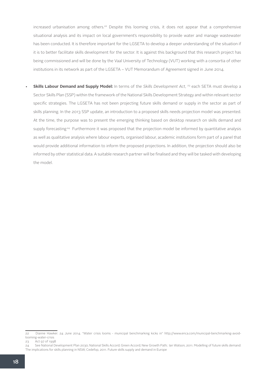increased urbanisation among others.<sup>22</sup> Despite this looming crisis, it does not appear that a comprehensive situational analysis and its impact on local government's responsibility to provide water and manage wastewater has been conducted. It is therefore important for the LGSETA to develop a deeper understanding of the situation if it is to better facilitate skills development for the sector. It is against this background that this research project has being commissioned and will be done by the Vaal University of Technology (VUT) working with a consortia of other institutions in its network as part of the LGSETA – VUT Memorandum of Agreement signed in June 2014.

**Skills Labour Demand and Supply Model:** In terms of the *Skills Development Act*, <sup>23</sup> each SETA must develop a Sector Skills Plan (SSP) within the framework of the National Skills Development Strategy and within relevant sector specific strategies. The LGSETA has not been projecting future skills demand or supply in the sector as part of skills planning. In the 2013 SSP update, an introduction to a proposed skills needs projection model was presented. At the time, the purpose was to present the emerging thinking based on desktop research on skills demand and supply forecasting<sup>24</sup> Furthermore it was proposed that the projection model be informed by quantitative analysis as well as qualitative analysis where labour experts, organised labour, academic institutions form part of a panel that would provide additional information to inform the proposed projections. In addition, the projection should also be informed by other statistical data. A suitable research partner will be finalised and they will be tasked with developing the model.

<sup>22</sup> Dianne Hawker. 24 June 2014. "Water crisis looms - municipal benchmarking kicks in" http://www.enca.com/municipal-benchmarking-avoidlooming-water-crisis

<sup>23</sup> Act 97 of 1998

<sup>24</sup> See National Development Plan 2030; National Skills Accord; Green Accord; New Growth Path; Ian Watson, 2011. Modelling of future skills demand: The implications for skills planning in NSW; Cedefop, 2011. Future skills supply and demand in Europe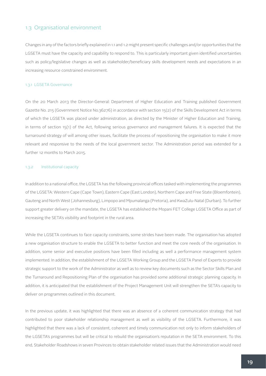#### 1.3 Organisational environment

Changes in any of the factors briefly explained in 1.1 and 1.2 might present specific challenges and/or opportunities that the LGSETA must have the capacity and capability to respond to. This is particularly important given identified uncertainties such as policy/legislative changes as well as stakeholder/beneficiary skills development needs and expectations in an increasing resource constrained environment.

#### 1.3.1 LGSETA Governance

On the 20 March 2013 the Director-General: Department of Higher Education and Training published Government Gazette No. 215 (Government Notice No.36276) in accordance with section 15(2) of the Skills Development Act in terms of which the LGSETA was placed under administration, as directed by the Minister of Higher Education and Training, in terms of section 15(1) of the Act, following serious governance and management failures. It is expected that the turnaround strategy of will among other issues, facilitate the process of repositioning the organisation to make it more relevant and responsive to the needs of the local government sector. The Administration period was extended for a further 12 months to March 2015.

#### 1.3.2 Institutional capacity

In addition to a national office, the LGSETA has the following provincial offices tasked with implementing the programmes of the LGSETA: Western Cape (Cape Town), Eastern Cape (East London), Northern Cape and Free State (Bloemfontein), Gauteng and North West (Johannesburg), Limpopo and Mpumalanga (Pretoria), and KwaZulu-Natal (Durban). To further support greater delivery on the mandate, the LGSETA has established the Mopani FET College LGSETA Office as part of increasing the SETA's visibility and footprint in the rural area.

While the LGSETA continues to face capacity constraints, some strides have been made. The organisation has adopted a new organisation structure to enable the LGSETA to better function and meet the core needs of the organisation. In addition, some senior and executive positions have been filled including as well a performance management system implemented. In addition, the establishment of the LGSETA Working Group and the LGSETA Panel of Experts to provide strategic support to the work of the Administrator as well as to review key documents such as the Sector Skills Plan and the Turnaround and Repositioning Plan of the organisation has provided some additional strategic planning capacity. In addition, it is anticipated that the establishment of the Project Management Unit will strengthen the SETA's capacity to deliver on programmes outlined in this document.

In the previous update, it was highlighted that there was an absence of a coherent communication strategy that had contributed to poor stakeholder relationship management as well as visibility of the LGSETA. Furthermore, it was highlighted that there was a lack of consistent, coherent and timely communication not only to inform stakeholders of the LGSETA's programmes but will be critical to rebuild the organisation's reputation in the SETA environment. To this end, Stakeholder Roadshows in seven Provinces to obtain stakeholder related issues that the Administration would need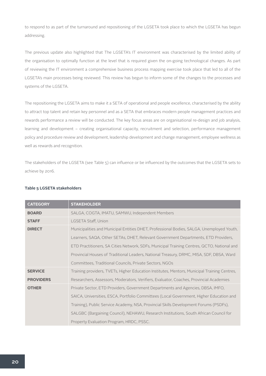to respond to as part of the turnaround and repositioning of the LGSETA took place to which the LGSETA has begun addressing.

The previous update also highlighted that The LGSETA's IT environment was characterised by the limited ability of the organisation to optimally function at the level that is required given the on-going technological changes. As part of reviewing the IT environment a comprehensive business process mapping exercise took place that led to all of the LGSETA's main processes being reviewed. This review has begun to inform some of the changes to the processes and systems of the LGSETA.

The repositioning the LGSETA aims to make it a SETA of operational and people excellence, characterised by the ability to attract top talent and retain key personnel and as a SETA that embraces modern people management practices and rewards performance a review will be conducted. The key focus areas are on organisational re-design and job analysis, learning and development – creating organisational capacity, recruitment and selection, performance management policy and procedure review and development, leadership development and change management, employee wellness as well as rewards and recognition.

The stakeholders of the LGSETA (see Table 5) can influence or be influenced by the outcomes that the LGSETA sets to achieve by 2016.

| <b>CATEGORY</b>  | <b>STAKEHOLDER</b>                                                                           |
|------------------|----------------------------------------------------------------------------------------------|
| <b>BOARD</b>     | SALGA, COGTA, IMATU, SAMWU, Independent Members                                              |
| <b>STAFF</b>     | LGSETA Staff, Union                                                                          |
| <b>DIRECT</b>    | Municipalities and Municipal Entities DHET, Professional Bodies, SALGA, Unemployed Youth,    |
|                  | Learners, SAQA, Other SETAs, DHET, Relevant Government Departments, ETD Providers,           |
|                  | ETD Practitioners, SA Cities Network, SDFs, Municipal Training Centres, QCTO, National and   |
|                  | Provincial Houses of Traditional Leaders, National Treasury, DRMC, MISA, SDF, DBSA, Ward     |
|                  | Committees, Traditional Councils, Private Sectors, NGOs                                      |
| <b>SERVICE</b>   | Training providers, TVETs, Higher Education Institutes, Mentors, Municipal Training Centres, |
| <b>PROVIDERS</b> | Researchers, Assessors, Moderators, Verifiers, Evaluator, Coaches, Provincial Academies      |
| <b>OTHER</b>     | Private Sector, ETD Providers, Government Departments and Agencies, DBSA, IMFO,              |
|                  | SAICA, Universities, ESCA, Portfolio Committees (Local Government, Higher Education and      |
|                  | Training), Public Service Academy, NSA, Provincial Skills Development Forums (PSDFs),        |
|                  | SALGBC (Bargaining Council), NEHAWU, Research Institutions, South African Council for        |
|                  | Property Evaluation Program, HRDC, PSSC.                                                     |

#### **Table 5 LGSETA stakeholders**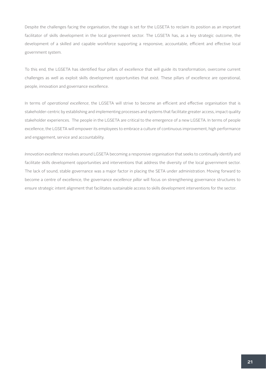Despite the challenges facing the organisation, the stage is set for the LGSETA to reclaim its position as an important facilitator of skills development in the local government sector. The LGSETA has, as a key strategic outcome, the development of a skilled and capable workforce supporting a responsive, accountable, efficient and effective local government system.

To this end, the LGSETA has identified four pillars of excellence that will guide its transformation, overcome current challenges as well as exploit skills development opportunities that exist. These pillars of excellence are operational, people, innovation and governance excellence.

In terms of *operational excellence*, the LGSETA will strive to become an efficient and effective organisation that is stakeholder-centric by establishing and implementing processes and systems that facilitate greater access, impact quality stakeholder experiences. The people in the LGSETA are critical to the emergence of a new LGSETA. In terms of people excellence, the LGSETA will empower its employees to embrace a culture of continuous improvement, high performance and engagement, service and accountability.

*Innovation excellence* revolves around LGSETA becoming a responsive organisation that seeks to continually identify and facilitate skills development opportunities and interventions that address the diversity of the local government sector. The lack of sound, stable governance was a major factor in placing the SETA under administration. Moving forward to become a centre of excellence, the governance *excellence pillar* will focus on strengthening governance structures to ensure strategic intent alignment that facilitates sustainable access to skills development interventions for the sector.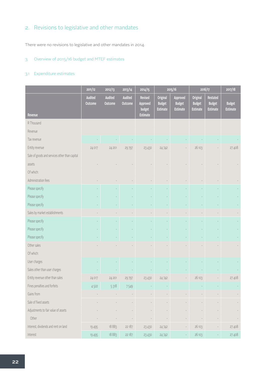#### 2. Revisions to legislative and other mandates

There were no revisions to legislative and other mandates in 2014.

#### 3. Overview of 2015/16 budget and MTEF estimates

#### 3.1 Expenditure estimates

|                                               | 2011/12            | 2012/13                   | 2013/14                   | 2014/15                       |                                              | 2015/16                                      |                                              | 2016/17                                             | 2017/18                          |
|-----------------------------------------------|--------------------|---------------------------|---------------------------|-------------------------------|----------------------------------------------|----------------------------------------------|----------------------------------------------|-----------------------------------------------------|----------------------------------|
| Revenue                                       | Audited<br>Outcome | <b>Audited</b><br>Outcome | <b>Audited</b><br>Outcome | Revised<br>Approved<br>budget | Original<br><b>Budget</b><br><b>Estimate</b> | Approved<br><b>Budget</b><br><b>Estimate</b> | Original<br><b>Budget</b><br><b>Estimate</b> | <b>Restated</b><br><b>Budget</b><br><b>Estimate</b> | <b>Budget</b><br><b>Estimate</b> |
| R Thousand                                    |                    |                           |                           | <b>Estimate</b>               |                                              |                                              |                                              |                                                     |                                  |
|                                               |                    |                           |                           |                               |                                              |                                              |                                              |                                                     |                                  |
| Revenue                                       |                    |                           |                           |                               |                                              |                                              |                                              |                                                     |                                  |
| Tax revenue                                   |                    |                           |                           |                               |                                              |                                              |                                              |                                                     |                                  |
| Entity revenue                                | 24 017             | 24 201                    | 29 7 97                   | 23 4 30                       | 24742                                        |                                              | 26 103                                       |                                                     | 27408                            |
| Sale of goods and services other than capital |                    |                           |                           |                               |                                              |                                              |                                              |                                                     |                                  |
| assets                                        |                    |                           |                           |                               |                                              |                                              |                                              |                                                     |                                  |
| Of which:                                     |                    |                           |                           |                               |                                              |                                              |                                              |                                                     |                                  |
| Administration fees                           |                    |                           |                           |                               |                                              |                                              |                                              |                                                     |                                  |
| Please specify                                |                    |                           |                           |                               |                                              |                                              |                                              |                                                     |                                  |
| Please specify                                |                    |                           |                           |                               |                                              |                                              |                                              |                                                     |                                  |
| Please specify                                |                    |                           |                           |                               |                                              |                                              |                                              |                                                     |                                  |
| Sales by market establishments                |                    |                           |                           |                               |                                              |                                              |                                              |                                                     |                                  |
| Please specify                                |                    |                           |                           |                               |                                              |                                              |                                              |                                                     |                                  |
| Please specify                                |                    |                           |                           |                               |                                              |                                              |                                              |                                                     |                                  |
| Please specify                                |                    |                           |                           |                               |                                              |                                              |                                              |                                                     |                                  |
| Other sales                                   |                    |                           |                           |                               |                                              |                                              |                                              |                                                     |                                  |
| Of which:                                     |                    |                           |                           |                               |                                              |                                              |                                              |                                                     |                                  |
| User charges                                  |                    |                           |                           |                               |                                              |                                              |                                              |                                                     |                                  |
| Sales other than user charges                 |                    |                           |                           |                               |                                              |                                              |                                              |                                                     |                                  |
| Entity revenue other than sales               | 24 017             | 24 201                    | 29 797                    | 23 4 30                       | 24742                                        |                                              | 26 103                                       |                                                     | 27 408                           |
| Fines penalties and forfeits                  | 4522               | 5318                      | 7549                      |                               |                                              |                                              |                                              |                                                     |                                  |
| Gains from                                    |                    |                           |                           |                               |                                              |                                              |                                              |                                                     |                                  |
| Sale of fixed assets                          |                    |                           |                           |                               |                                              |                                              |                                              |                                                     |                                  |
| Adjustments to fair value of assets           |                    |                           |                           | $\overline{\phantom{a}}$      |                                              | $\overline{a}$                               |                                              |                                                     |                                  |
| Other                                         |                    |                           |                           |                               |                                              |                                              |                                              | $\qquad \qquad$                                     |                                  |
| Interest, dividends and rent on land          | 19 4 9 5           | 18883                     | 22 187                    | 23 4 30                       | 24 742                                       |                                              | 26 103                                       |                                                     | 27 408                           |
| Interest                                      | 19 4 95            | 18883                     | 22 187                    | 23 4 30                       | 24 742                                       |                                              | 26 103                                       |                                                     | 27408                            |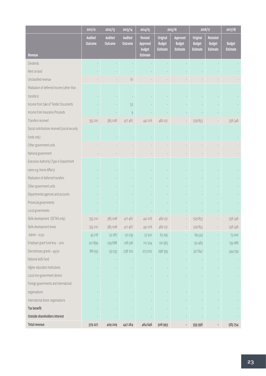|                                                | $\frac{1}{2011/12}$       | 2012/13            | 2013/14                   | 2014/15                              |                                              | 2015/16                                      |                                              | 2016/17                                             | 2017/18                          |
|------------------------------------------------|---------------------------|--------------------|---------------------------|--------------------------------------|----------------------------------------------|----------------------------------------------|----------------------------------------------|-----------------------------------------------------|----------------------------------|
|                                                | <b>Audited</b><br>Outcome | Audited<br>Outcome | <b>Audited</b><br>Outcome | <b>Revised</b><br>Approved<br>budget | Original<br><b>Budget</b><br><b>Estimate</b> | Approved<br><b>Budget</b><br><b>Estimate</b> | Original<br><b>Budget</b><br><b>Estimate</b> | <b>Restated</b><br><b>Budget</b><br><b>Estimate</b> | <b>Budget</b><br><b>Estimate</b> |
| Revenue                                        |                           |                    |                           | <b>Estimate</b>                      |                                              |                                              |                                              |                                                     |                                  |
| <b>Dividends</b>                               |                           |                    |                           |                                      |                                              |                                              |                                              |                                                     |                                  |
| Rent on land                                   |                           |                    |                           |                                      |                                              |                                              |                                              |                                                     |                                  |
| Unclassified revenue                           |                           |                    | 61                        |                                      |                                              |                                              |                                              |                                                     |                                  |
| Realisation of deferred income (other than     |                           |                    |                           |                                      |                                              |                                              |                                              |                                                     |                                  |
| transfers)                                     |                           |                    |                           |                                      |                                              |                                              |                                              |                                                     |                                  |
| Income from Sale of Tender Documents           |                           |                    | 52                        |                                      |                                              |                                              |                                              |                                                     |                                  |
| Income from Insurance Proceeds                 |                           |                    | $\overline{9}$            |                                      |                                              |                                              |                                              |                                                     |                                  |
| Transfers received                             | 355 210                   | 385 008            | 417 467                   | 441216                               | 482 251                                      |                                              | 529853                                       |                                                     | 556 346                          |
| Social contributions received (social security |                           |                    |                           |                                      |                                              |                                              |                                              |                                                     |                                  |
| funds only)                                    |                           |                    |                           |                                      |                                              |                                              |                                              |                                                     |                                  |
| Other government units                         |                           |                    |                           |                                      |                                              |                                              |                                              |                                                     |                                  |
| National government                            |                           |                    |                           |                                      |                                              |                                              |                                              |                                                     |                                  |
| Executive Authority (Type in Department        |                           |                    |                           |                                      |                                              |                                              |                                              |                                                     |                                  |
| name e.g. Home Affairs)                        |                           |                    |                           |                                      |                                              |                                              |                                              |                                                     |                                  |
| Realisation of deferred transfers              |                           |                    |                           |                                      |                                              |                                              |                                              |                                                     |                                  |
| Other government units                         |                           |                    |                           |                                      |                                              |                                              |                                              |                                                     |                                  |
| Departmental agencies and accounts             |                           |                    |                           |                                      |                                              |                                              |                                              |                                                     |                                  |
| Provincial governments                         |                           |                    |                           |                                      |                                              |                                              |                                              |                                                     |                                  |
| Local governments                              |                           |                    |                           |                                      |                                              |                                              |                                              |                                                     |                                  |
| Skills development (SETAS only)                | 355 210                   | 385 008            | 417 467                   | 441216                               | 482 251                                      |                                              | 529853                                       |                                                     | 556 346                          |
| Skills development levies                      | 355 210                   | 385 008            | 417 467                   | 441 216                              | 482 251                                      |                                              | 529853                                       |                                                     | 556 346                          |
| Admin - 10.5%                                  | 45 218                    | 52 287             | 50 239                    | 57 910                               | 63 295                                       |                                              | 69543                                        |                                                     | 73020                            |
| Employer grant fund levy - 20%                 | 221899                    | 239 688            | 128 526                   | 110 304                              | 120 563                                      | ÷                                            | 132 463                                      |                                                     | 139 086                          |
| Discretionary grants - 49.5%                   | 88 093                    | 93 0 33            | 238 702                   | 273 002                              | 298 393                                      |                                              | 327 847                                      |                                                     | 344 239                          |
| National skills fund                           |                           |                    |                           |                                      |                                              |                                              |                                              |                                                     |                                  |
| Higher education institutions                  |                           |                    |                           |                                      |                                              |                                              |                                              |                                                     |                                  |
| Local non-government donors                    |                           |                    |                           |                                      |                                              |                                              |                                              |                                                     |                                  |
| Foreign governments and international          |                           |                    |                           |                                      |                                              |                                              |                                              |                                                     |                                  |
| organisations                                  |                           |                    |                           |                                      |                                              |                                              |                                              |                                                     |                                  |
| International donor organisations              |                           |                    |                           |                                      |                                              |                                              |                                              |                                                     |                                  |
| Tax benefit                                    |                           |                    |                           |                                      |                                              |                                              |                                              |                                                     |                                  |
| Outside shareholders interest                  |                           |                    |                           |                                      |                                              |                                              |                                              |                                                     |                                  |
| <b>Total revenue</b>                           | 379 227                   | 409 209            | 447 264                   | 464 646                              | 506 993                                      |                                              | 555 956                                      |                                                     | 583754                           |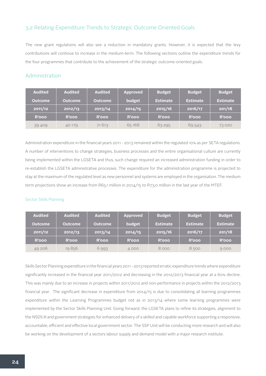#### 3.2 Relating Expenditure Trends to Strategic Outcome Oriented Goals

The new grant regulations will also see a reduction in mandatory grants. However, it is expected that the levy contributions will continue to increase in the medium-term. The following sections outline the expenditure trends for the four programmes that contribute to the achievement of the strategic outcome-oriented goals.

#### Administration

| <b>Audited</b> | <b>Audited</b> | <b>Audited</b> | <b>Approved</b> | <b>Budget</b>   | <b>Budget</b>   | <b>Budget</b>   |
|----------------|----------------|----------------|-----------------|-----------------|-----------------|-----------------|
| <b>Outcome</b> | <b>Outcome</b> | <b>Outcome</b> | budget          | <b>Estimate</b> | <b>Estimate</b> | <b>Estimate</b> |
| 2011/12        | 2012/13        | 2013/14        | 2014/15         | 2015/16         | 2016/17         | 201/18          |
| <b>R'ooo</b>   | <b>R'ooo</b>   | <b>R'ooo</b>   | <b>R'ooo</b>    | <b>R'ooo</b>    | <b>R'ooo</b>    | <b>R'ooo</b>    |
| 39 409         | 40 179         | 71613          | 65 168          | 63295           | 69543           | 73020           |

Administration expenditure in the financial years 2011 - 2013 remained within the regulated 10% as per SETA regulations. A number of interventions to change strategies, business processes and the entire organisational culture are currently being implemented within the LGSETA and thus, such change required an increased administration funding in order to re-establish the LGSETA administrative processes. The expenditure for the administration programme is projected to stay at the maximum of the regulated level as new personnel and systems are employed in the organisation. The medium term projections show an increase from R65,1 million in 2014/15 to R73,0 million in the last year of the MTEF.

#### Sector Skills Planning

| <b>Audited</b> | <b>Audited</b> | <b>Audited</b> | <b>Approved</b> | <b>Budget</b>   | <b>Budget</b>   | <b>Budget</b>   |
|----------------|----------------|----------------|-----------------|-----------------|-----------------|-----------------|
| <b>Outcome</b> | <b>Outcome</b> | <b>Outcome</b> | budget          | <b>Estimate</b> | <b>Estimate</b> | <b>Estimate</b> |
| 2011/12        | 2012/13        | 2013/14        | 2014/15         | 2015/16         | 2016/17         | 201/18          |
| <b>R'ooo</b>   | <b>R'ooo</b>   | <b>R'ooo</b>   | <b>R'ooo</b>    | <b>R'ooo</b>    | R'ooo           | <b>R'ooo</b>    |
| 49 206         | 19856          | 6993           | 4 0 0 0         | 8000            | 8500            | 9000            |

Skills Sector Planning expenditure in the financial years 2011 - 2013 reported erratic expenditure trends where expenditure significantly increased in the financial year 2011/2012 and decreasing in the 2012/2013 financial year at a 60% decline. This was mainly due to an increase in projects within 2011/2012 and non-performance in projects within the 2012/2013 financial year. The significant decrease in expenditure from 2014/15 is due to consolidating all learning programmes expenditure within the Learning Programmes budget not as in 2013/14 where some learning programmes were implemented by the Sector Skills Planning Unit. Going forward, the LGSETA plans to refine its strategies, alignment to the NSDS III and government strategies for enhanced delivery of a skilled and capable workforce supporting a responsive, accountable, efficient and effective local government sector. The SSP Unit will be conducting more research and will also be working on the development of a sectors labour supply and demand model with a major research institute.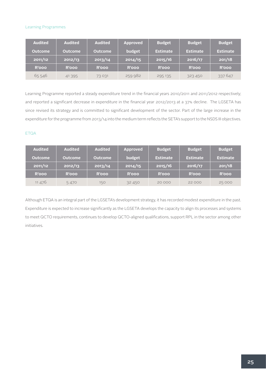#### Learning Programmes

| <b>Audited</b> | <b>Audited</b> | <b>Audited</b> | <b>Approved</b> | <b>Budget</b>   | <b>Budget</b>   | <b>Budget</b>   |
|----------------|----------------|----------------|-----------------|-----------------|-----------------|-----------------|
| <b>Outcome</b> | <b>Outcome</b> | <b>Outcome</b> | budget          | <b>Estimate</b> | <b>Estimate</b> | <b>Estimate</b> |
| 2011/12        | 2012/13        | 2013/14        | 2014/15         | 2015/16         | 2016/17         | 201/18          |
| <b>R'ooo</b>   | <b>R'ooo</b>   | <b>R'ooo</b>   | <b>R'ooo</b>    | <b>R'ooo</b>    | <b>R'ooo</b>    | <b>R'ooo</b>    |
| 65546          | 41395          | 73031          | 259 982         | 295 135         | 323 450         | 337 647         |

Learning Programme reported a steady expenditure trend in the financial years 2010/2011 and 2011/2012 respectively; and reported a significant decrease in expenditure in the financial year 2012/2013 at a 37% decline. The LGSETA has since revised its strategy and is committed to significant development of the sector. Part of the large increase in the expenditure for the programme from 2013/14 into the medium term reflects the SETA's support to the NSDS III objectives.

#### ETQA

| <b>Audited</b> | <b>Audited</b> | <b>Audited</b> | <b>Approved</b> | <b>Budget</b>   | <b>Budget</b>   | <b>Budget</b>   |
|----------------|----------------|----------------|-----------------|-----------------|-----------------|-----------------|
| <b>Outcome</b> | <b>Outcome</b> | <b>Outcome</b> | budget          | <b>Estimate</b> | <b>Estimate</b> | <b>Estimate</b> |
| 2011/12        | 2012/13        | 2013/14        | 2014/15         | 2015/16         | 2016/17         | 201/18          |
| <b>R'ooo</b>   | <b>R'ooo</b>   | <b>R'ooo</b>   | <b>R'ooo</b>    | <b>R'ooo</b>    | <b>R'ooo</b>    | <b>R'ooo</b>    |
| 11 476         | 5470           | 150            | 32 450          | 20 000          | 22 000          | 25 000          |

Although ETQA is an integral part of the LGSETA's development strategy, it has recorded modest expenditure in the past. Expenditure is expected to increase significantly as the LGSETA develops the capacity to align its processes and systems to meet QCTO requirements, continues to develop QCTO-aligned qualifications, support RPL in the sector among other initiatives.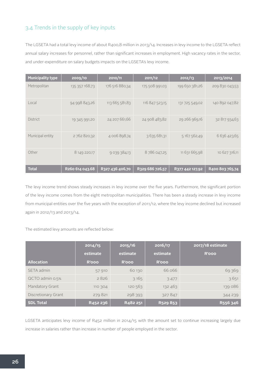#### 3.4 Trends in the supply of key inputs

The LGSETA had a total levy income of about R400,8 million in 2013/14. Increases in levy income to the LGSETA reflect annual salary increases for personnel, rather than significant increases in employment. High vacancy rates in the sector, and under-expenditure on salary budgets impacts on the LGSETA's levy income.

| <b>Municipality type</b> | $\overline{2009/10}$ | 2010/11           | 2011/12         | 2012/13         | 2013/2014       |
|--------------------------|----------------------|-------------------|-----------------|-----------------|-----------------|
| Metropolitan             | 135 357 168,73       | 176 516 880,34    | 175 508 991,03  | 199 650 381,26  | 209 830 043,53  |
| Local                    | 94 998 843,26        | 113 665 581,83    | 116 847 523,15  | 131 725 549,02  | 140 892 047,82  |
| <b>District</b>          | 19 345 991,20        | 24 207 661,66     | 24 908 483,82   | 29 266 969,16   | 32 817 934,63   |
| Municipal entity         | 2762820,32           | 4 006 898,74      | 3 635 681,31    | 5 167 562,49    | 6 636 423,65    |
| Other                    | 8 149 220,17         | 9 0 39 3 8 4, 1 3 | 8786047,25      | 11 631 665,98   | 10 627 316,11   |
| <b>Total</b>             | R260 614 043.68      | R327 436 406,70   | R329 686 726,57 | R377 442 127,92 | R400 803 765,74 |

The levy income trend shows steady increases in levy income over the five years. Furthermore, the significant portion of the levy income comes from the eight metropolitan municipalities. There has been a steady increase in levy income from municipal entities over the five years with the exception of 2011/12, where the levy income declined but increased again in 2012/13 and 2013/14.

The estimated levy amounts are reflected below:

|                     | 2014/15  | 2015/16      | 2016/17      | 2017/18 estimate |
|---------------------|----------|--------------|--------------|------------------|
|                     | estimate | estimate     | estimate     | <b>R'ooo</b>     |
| <b>Allocation</b>   | R'ooo    | <b>R'ooo</b> | <b>R'ooo</b> |                  |
| SETA admin          | 57 910   | 60 130       | 66066        | 69369            |
| QCTO admin 0.5%     | 2826     | 3165         | 3477         | 3651             |
| Mandatory Grant     | 110 304  | 120 563      | 132 463      | 139 086          |
| Discretionary Grant | 279821   | 298 393      | 327847       | 344 239          |
| <b>SDL Total</b>    | R452 236 | R482 251     | R529 853     | R556 346         |

LGSETA anticipates levy income of R452 million in 2014/15 with the amount set to continue increasing largely due increase in salaries rather than increase in number of people employed in the sector.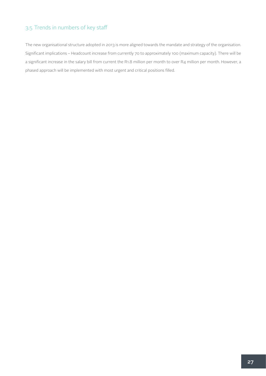#### 3.5 Trends in numbers of key staff

The new organisational structure adopted in 2013 is more aligned towards the mandate and strategy of the organisation. Significant implications – Headcount increase from currently 70 to approximately 100 (maximum capacity). There will be a significant increase in the salary bill from current the R1.8 million per month to over R4 million per month. However, a phased approach will be implemented with most urgent and critical positions filled.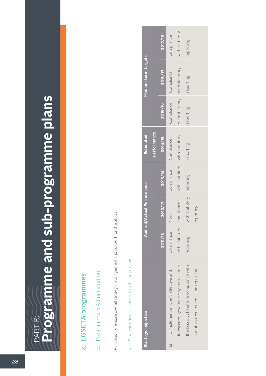# **Programme and sub-programme plans Programme and sub-programme plans**PART B: PART B:

## 4. LGSETA programmes 4. LGSETA programmes

4.1 Programme 1: Administration 4.1 Programme 1: Administration

Purpose: To ensure overall strategic management and support for the SETA Purpose: To ensure overall strategic management and support for the SETA

## 4.1.1 Strategic objective annual targets for 2015/16 4.1.1 Strategic objective annual targets for 2015/16

|               | Strategic objective                   |                | Audited/Actual Performance |                | Estimated      |                | Medium-term targets |                |
|---------------|---------------------------------------|----------------|----------------------------|----------------|----------------|----------------|---------------------|----------------|
|               |                                       |                |                            |                | Performance    |                |                     |                |
|               |                                       | 2011/12        | 2012/13                    | 2013/14        | 2014/15        | 2015/16        | 2016/17             | 2017/18        |
| $\frac{1}{2}$ | To implement efficient, effective and | Compliance     | Non-                       | Compliance     | Compliance     | Compliance     | Compliance          | Compliance     |
|               | transparent governance systems across | with statutory | compliance                 | with statutory | with statutory | with statutory | with statutory      | with statutory |
|               | the LGSETA to ensure compliance with  | reporting      | with statutory             | reporting      | eporting       | eporting       | reporting           | reporting      |
|               | statutory requirements and reporting. |                | reporting                  |                |                |                |                     |                |
|               |                                       |                |                            |                |                |                |                     |                |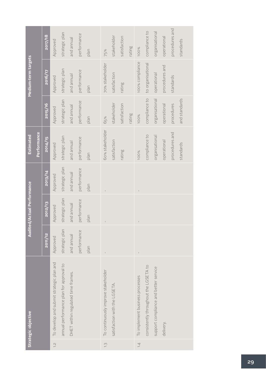|                            |             | 2017/18 | Approved                                 | strategic plan                          | and annual                         | performance | plan | 75%                                 | stakeholder                   | satisfaction | rating | <b>100%</b>                     | compliance to                         | organisational                        | operational    | procedures and | standards     |  |
|----------------------------|-------------|---------|------------------------------------------|-----------------------------------------|------------------------------------|-------------|------|-------------------------------------|-------------------------------|--------------|--------|---------------------------------|---------------------------------------|---------------------------------------|----------------|----------------|---------------|--|
| Medium-term targets        |             | 2016/17 | Approved                                 | strategic plan                          | and annual                         | performance | plan | 70% stakeholder                     | satisfaction                  | rating       |        | 100% compliance                 | to organisational                     | operational                           | procedures and | standards      |               |  |
|                            |             | 2015/16 | Approved                                 | strategic plan                          | and annual                         | performance | plan | 65%                                 | stakeholder                   | satisfaction | rating | 100%                            | compliance to                         | organisational                        | operational    | procedures     | and standards |  |
| <b>Estimated</b>           | Performance | 2014/15 | Approved                                 | strategic plan                          | and annual                         | performance | nan  | 60% stakeholder                     | satisfaction                  | rating       |        | 100%                            | compliance to                         | organisational                        | operational    | procedures and | standards     |  |
|                            |             | 2013/14 | Approved                                 | strategic plan                          | and annual                         | performance | plan | $\overline{1}$                      |                               |              |        |                                 |                                       |                                       |                |                |               |  |
| Audited/Actual Performance |             | 2012/13 | Approved                                 | strategic plan                          | and annual                         | performance | plan | $\overline{1}$                      |                               |              |        | $\bar{1}$                       |                                       |                                       |                |                |               |  |
|                            |             | 2011/12 | Approved                                 | strategic plan                          | and annual                         | performance | plan | $\overline{1}$                      |                               |              |        |                                 |                                       |                                       |                |                |               |  |
| Strategic objective        |             |         | To develop and submit strategic plan and | annual performance plan for approval to | DHET within regulated time frames. |             |      | To continuously improve stakeholder | satisfaction with the LGSETA. |              |        | To implement business processes | consistently throughout the LGSETA to | support compliance and better service | delivery.      |                |               |  |
|                            |             |         | $\frac{1}{2}$                            |                                         |                                    |             |      | $\frac{1}{2}$                       |                               |              |        | $\overline{4}$                  |                                       |                                       |                |                |               |  |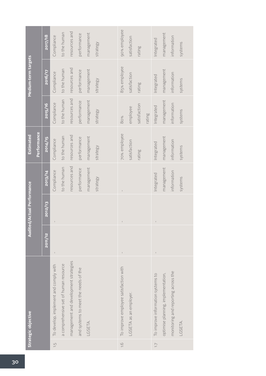| 2017/18 | Compliance                            | to the human                          |                                       | performance                          |            |            | 90% employee                          |                        |              |        | Integrated                        | management                         | information                         | systems |
|---------|---------------------------------------|---------------------------------------|---------------------------------------|--------------------------------------|------------|------------|---------------------------------------|------------------------|--------------|--------|-----------------------------------|------------------------------------|-------------------------------------|---------|
| 2016/17 | Compliance                            | to the human                          | resources and                         | performance                          | management | strategy   | 85% employee                          | satisfaction           | rating       |        | Integrated                        | management                         | information                         | systems |
| 2015/16 | Compliance                            | to the human                          | resources and                         | performance                          | management | strategy   | 80%                                   | employee               | satisfaction | rating | Integrated                        | management                         | information                         | systems |
| 2014/15 | Compliance                            | to the human                          | resources and                         | performance                          | management | strategy   | 70% employee                          | satisfaction           | rating       |        | Integrated                        | management                         | information                         | systems |
| 2013/14 | Compliance                            | to the human                          | resources and                         | performance                          | management | strategy   |                                       |                        |              |        | Integrated                        | management                         | information                         | systems |
| 2012/13 |                                       |                                       |                                       |                                      |            |            |                                       |                        |              |        |                                   |                                    |                                     |         |
| 2011/12 |                                       |                                       |                                       |                                      |            |            |                                       |                        |              |        |                                   |                                    |                                     |         |
|         | To develop, implement and comply with | a comprehensive set of human resource | management and development strategies | and systems to meet the needs of the | LGSETA.    |            | To improve employee satisfaction with | LGSETA as an employer. |              |        | To improve information systems to | optimise planning, implementation, | monitoring and reporting across the | LGSETA. |
|         |                                       | $\frac{1}{2}$                         |                                       | resources and                        |            | management | strategy                              | $-1.6$                 | satisfaction | rating |                                   | $\overline{1}$ .                   |                                     |         |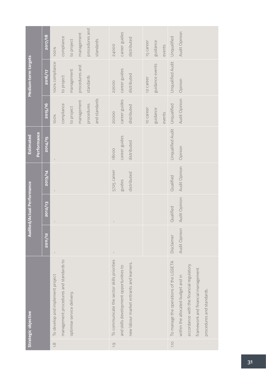|                            | 2017/18 | compliance<br>100%                                                         | procedures and<br>management<br>to project | standards     | <b>24000</b>                                | career guides                           | distributed                              | 15 career | guidance        | events | Unqualified                                    | Audit Opinion                                                                                                                                     |
|----------------------------|---------|----------------------------------------------------------------------------|--------------------------------------------|---------------|---------------------------------------------|-----------------------------------------|------------------------------------------|-----------|-----------------|--------|------------------------------------------------|---------------------------------------------------------------------------------------------------------------------------------------------------|
| Medium-term targets        | 2016/17 | 100% compliance<br>to project                                              | procedures and<br>management<br>standards  |               | 22000                                       | career guides                           | distributed                              | 12 career | guidance events |        | Unqualified Audit                              | Opinion                                                                                                                                           |
|                            | 2015/16 | compliance<br>100%                                                         | management<br>procedures<br>to project     | and standards | 20000                                       | career guides                           | distributed                              | 10 career | guidance        | events | Unqualified                                    | Audit Opinion                                                                                                                                     |
| Performance<br>Estimated   | 2014/15 |                                                                            |                                            |               | 18000                                       | career guides                           | distributed                              |           |                 |        | Unqualified Audit                              | Opinion                                                                                                                                           |
|                            | 2013/14 |                                                                            |                                            |               | 5725 career                                 | guides                                  | distributed                              |           |                 |        | Qualified                                      | Audit Opinion                                                                                                                                     |
| Audited/Actual Performance | 2012/13 |                                                                            |                                            |               |                                             |                                         |                                          |           |                 |        | Qualified                                      | Audit Opinion                                                                                                                                     |
|                            | 2011/12 | $\sf I$                                                                    |                                            |               | $\mathsf I$                                 |                                         |                                          |           |                 |        | Disclaimer                                     | Audit Opinion                                                                                                                                     |
| Strategic objective        |         | management procedures and standards to<br>To develop and implement project | optimise service delivery.                 |               | To communicate the sector skills priorities | and skills development opportunities to | new labour market entrants and learners. |           |                 |        | To manage the operations of the LGSETA<br>1.10 | accordance with the financial regulatory<br>framework and financial management<br>within the allocated budget and in<br>procedures and standards. |
|                            |         | $\frac{1}{2}$                                                              |                                            |               | $\overline{0}$ .                            |                                         |                                          |           |                 |        |                                                |                                                                                                                                                   |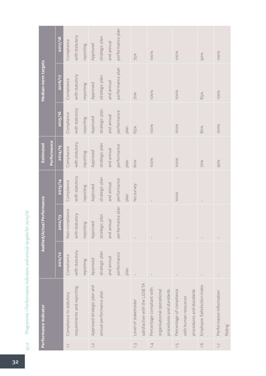Programme 1 Performance indicators and annual targets for 2015/16 4.1.2 Programme 1 Performance indicators and annual targets for 2015/16  $4.1.2$ 

|                          | Performance Indicator        |                | Audited/Actual Performance |                | <b>Estimated</b> |                | Medium-term targets |                  |
|--------------------------|------------------------------|----------------|----------------------------|----------------|------------------|----------------|---------------------|------------------|
|                          |                              |                |                            |                | Performance      |                |                     |                  |
|                          |                              | 2011/12        | 2012/13                    | 2013/14        | 2014/15          | 2015/16        | <b>ZO16/17</b>      | 2017/18          |
| $\overline{\phantom{a}}$ | Compliance to statutory      | Compliance     | Non-compliance             | Compliance     | Compliance       | Compliance     | Compliance          | Compliance       |
|                          | requirements and reporting   | with statutory | with statutory             | with statutory | with statutory   | with statutory | with statutory      | with statutory   |
|                          |                              | reporting      | reporting                  | reporting      | reporting        | reporting      | reporting           | reporting        |
| $\frac{1}{2}$            | Approved strategic plan and  | Approved       | Approved                   | Approved       | Approved         | Approved       | Approved            | Approved         |
|                          | annual performance plan      | strategic plan | strategic plan             | strategic plan | strategic plan   | strategic plan | strategic plan      | strategic plan   |
|                          |                              | and annual     | and annual                 | and annual     | and annual       | and annual     | and annual          | and annual       |
|                          |                              | performance    | performance plan           | performance    | performance      | performance    | performance plan    | performance plan |
|                          |                              | plan           |                            | nan            | plan             | plan           |                     |                  |
| $\frac{1}{2}$            | Level of stakeholder         |                | $\mathbf I$                | No survey      | 60%              | 65%            | 70%                 | 75%              |
|                          | satisfaction with the LGSETA |                |                            |                |                  |                |                     |                  |
| 1.4                      | Percentage compliant with    | $\,$ $\,$      | $\,$ $\,$                  |                | <b>100%</b>      | 100%           | <b>100%</b>         | 100%             |
|                          | organisational operational   |                |                            |                |                  |                |                     |                  |
|                          | procedures and standards     |                |                            |                |                  |                |                     |                  |
| $\frac{1}{2}$            | Percentage of compliance     | $\mathsf I$    | $\mathbb{I}$               | 100%           | 100%             | 100%           | <b>100%</b>         | <b>100%</b>      |
|                          | with human resources         |                |                            |                |                  |                |                     |                  |
|                          | procedures and standards     |                |                            |                |                  |                |                     |                  |
| $\frac{0}{1}$            | Employee Satisfaction Index  |                |                            |                | 70%              | 80%            | 85%                 | 90%              |
| $\overline{1}$ .         | Performance Information      |                |                            |                | 90%              | 100%           | <b>100%</b>         | 100%             |
|                          | Rating                       |                |                            |                |                  |                |                     |                  |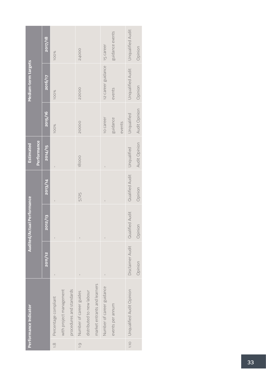|                | Performance Indicator        |                  | Audited/Actual Performance |                 | <b>Estimated</b> |               | Medium-term targets |                   |
|----------------|------------------------------|------------------|----------------------------|-----------------|------------------|---------------|---------------------|-------------------|
|                |                              |                  |                            |                 | Performance      |               |                     |                   |
|                |                              | 2011/12          | 2012/13                    | 2013/14         | 2014/15          | 2015/16       | 2016/17             | 2017/18           |
| $\frac{1}{1}$  | Percentage compliant         |                  |                            |                 |                  | <b>100%</b>   | <b>100%</b>         | <b>100%</b>       |
|                | with project management      |                  |                            |                 |                  |               |                     |                   |
|                | procedures and standards     |                  |                            |                 |                  |               |                     |                   |
| $\overline{0}$ | Number of career guides      |                  |                            | 5725            | 18000            | 20000         | 22000               | <b>24000</b>      |
|                | distributed to new labour    |                  |                            |                 |                  |               |                     |                   |
|                | market entrants and learners |                  |                            |                 |                  |               |                     |                   |
|                | Number of career guidance    | $\sf I$          | Ï                          |                 | $\overline{1}$   | 10 career     | 12 career guidance  | 15 career         |
|                | events per annum             |                  |                            |                 |                  | guidance      | events              | guidance events   |
|                |                              |                  |                            |                 |                  | events        |                     |                   |
| 1.10           | Unqualified Audit Opinion    | Disclaimer Audit | Qualified Audit            | Qualified Audit | Unqualified      | Unqualified   | Unqualified Audit   | Unqualified Audit |
|                |                              | Opinion          | Opinion                    | Opinion         | Audit Opinion    | Audit Opinion | Opinion             | Opinion           |
|                |                              |                  |                            |                 |                  |               |                     |                   |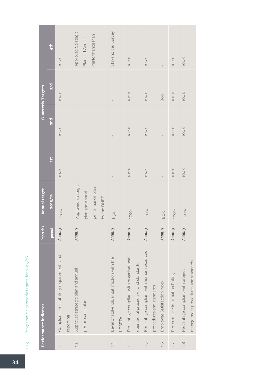| t                    |
|----------------------|
| ĺ                    |
| l<br>١<br>j          |
| j                    |
| ì<br>١               |
|                      |
|                      |
| I<br>ļ               |
|                      |
|                      |
| j                    |
| Ω                    |
|                      |
|                      |
|                      |
|                      |
|                      |
|                      |
| $\ddot{\phantom{a}}$ |
| l                    |
|                      |
|                      |
|                      |
|                      |
| $\sim$ $\sim$ $\sim$ |
|                      |
| ٦                    |
| i                    |
|                      |
| ١<br>I               |
|                      |
|                      |
|                      |
|                      |
| C<br>١               |
|                      |
|                      |

|                                 | Performance indicator                      | Reporting     | <b>Annual target</b> |             |             | <b>Quarterly Targets</b> |                    |
|---------------------------------|--------------------------------------------|---------------|----------------------|-------------|-------------|--------------------------|--------------------|
|                                 |                                            | <b>Period</b> | 2015/16              | 1st         | <b>Pus</b>  | <b>Bl</b>                | 4 <sup>th</sup>    |
| $\overline{\phantom{a}}$        | Compliance to statutory requirements and   | Annually      | 100%                 | <b>100%</b> | <b>100%</b> | <b>100%</b>              | <b>100%</b>        |
|                                 | reporting                                  |               |                      |             |             |                          |                    |
| $\overline{1}$ .                | Approved strategic plan and annual         | Annually      | Approved strategic   |             |             |                          | Approved Strategic |
|                                 | performance plan                           |               | plan and annual      |             |             |                          | Plan and Annual    |
|                                 |                                            |               | performance plan     |             |             |                          | Performance Plan   |
|                                 |                                            |               | by the DHET          |             |             |                          |                    |
| $\frac{1}{2}$                   | Level of stakeholder satisfaction with the | Annually      | 65%                  |             |             | $\overline{1}$           | Stakeholder Survey |
|                                 | LGSETA                                     |               |                      |             |             |                          |                    |
| 1.4                             | Percentage compliant with organisational   | Annually      | 100%                 | 100%        | <b>100%</b> | 100%                     | 100%               |
|                                 | operational procedures and standards       |               |                      |             |             |                          |                    |
| $\frac{1}{2}$                   | Percentage compliant with human resources  | Annually      | <b>100%</b>          | 100%        | 100%        | 100%                     | <b>100%</b>        |
|                                 | procedures and standards                   |               |                      |             |             |                          |                    |
| $-1.6$                          | Employee Satisfaction Index                | Annually      | 80%                  |             |             | 80%                      |                    |
| $\overline{1}$ . $\overline{7}$ | Performance Information Rating             | Annually      | 100%                 | <b>100%</b> | 100%        | 100%                     | <b>100%</b>        |
| $\frac{8}{1}$                   | Percentage compliant with project          | Annually      | <b>100%</b>          | 100%        | 100%        | <b>100%</b>              | 100%               |
|                                 | management procedures and standards        |               |                      |             |             |                          |                    |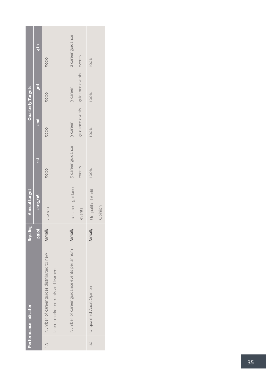|                | Performance indicator                      | Reporting | <b>Annual target</b> |                   |                 | Quarterly Targets |                   |
|----------------|--------------------------------------------|-----------|----------------------|-------------------|-----------------|-------------------|-------------------|
|                |                                            | period    | 2015/16              | 1st               | 2nd             | <b>Bid</b>        | 4th               |
| $\overline{0}$ | Number of career guides distributed to new | Annually  | 20000                | 5000              | 5000            | 5000              | 5000              |
|                | labour market entrants and learners        |           |                      |                   |                 |                   |                   |
|                | Number of career guidance events per annum | Annually  | 10 career guidance   | 5 career guidance | 3 career        | 3 career          | 2 career guidance |
|                |                                            |           | events               | events            | guidance events | guidance events   | events            |
| 1.10           | Unqualified Audit Opinion                  | Annually  | Unqualified Audit    | <b>100%</b>       | <b>100%</b>     | <b>100%</b>       | <b>100%</b>       |
|                |                                            |           | Opinion              |                   |                 |                   |                   |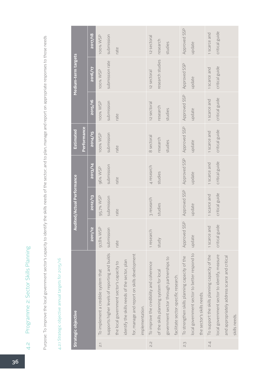Programme 2: Sector Skills Planning 4.2 Programme 2: Sector Skills Planning  $rac{1}{4}$ 

Purpose: To improve the local government sector's capacity to identify the skills needs of the sector; and to plan, manage and report on appropriate responses to those needs Purpose: To improve the local government sector's capacity to identify the skills needs of the sector; and to plan, manage and report on appropriate responses to those needs

## 4.2.1 Strategic objective annual targets for 2015/16 4.2.1 Strategic objective annual targets for 2015/16

|                   | Strategic objective                            |                | <b>Audited/Actual Performance</b> |                | <b>Estimated</b> |                | Medium-term targets |                |
|-------------------|------------------------------------------------|----------------|-----------------------------------|----------------|------------------|----------------|---------------------|----------------|
|                   |                                                |                |                                   |                | Performance      |                |                     |                |
|                   |                                                | 2011/12        | 2012/13                           | 2013/14        | 2014/15          | 2015/16        | <b>ZO16/17</b>      | 2017/18        |
| $\overline{\sim}$ | To implement a credible system that            | 97,8% WSP      | 95,7% WSP                         | 96% WSP        | 100% WSP         | 100% WSP       | 100% WSP            | 100% WSP       |
|                   | supports higher levels of reporting and builds | submission     | submission                        | submission     | submission       | submission     | submission rate     | submission     |
|                   | the local government sector's capacity to      | rate           | rate                              | rate           | rate             | rate           |                     | rate           |
|                   | identify the skills needs of the sector, plan  |                |                                   |                |                  |                |                     |                |
|                   | for, manage and report on skills development   |                |                                   |                |                  |                |                     |                |
|                   | implementation.                                |                |                                   |                |                  |                |                     |                |
| 2.i               | To improve the credibility and coherence       | 1 research     | 3 research                        | 4 research     | 8 sectoral       | 12 sectoral    | 12 sectoral         | 12 sectoral    |
|                   | of the skills planning system for local        | study          | studies                           | studies        | research         | research       | research studies    | research       |
|                   | government sector through partnerships to      |                |                                   |                | studies          | studies        |                     | studies        |
|                   | facilitate sector-specific research.           |                |                                   |                |                  |                |                     |                |
| S.S               | To strengthen skills planning capacity of the  | Approved SSP   | Approved SSP                      | Approved SSP   | Approved SSP     | Approved SSP   | Approved SSP        | Approved SSP   |
|                   | local government sector to better respond to   | update         | update                            | update         | update           | update         | update              | update         |
|                   | the sector's skills needs.                     |                |                                   |                |                  |                |                     |                |
| 2.4               | To support the skills planning capacity of the | 1 scarce and   | 1 scarce and                      | 1 scarce and   | 1 scarce and     | 1 scarce and   | 1 scarce and        | 1 scarce and   |
|                   | local government sector to identify, measure   | critical guide | critical guide                    | critical guide | critical guide   | critical guide | critical guide      | critical guide |
|                   | and appropriately address scarce and critical  |                |                                   |                |                  |                |                     |                |
|                   | skills needs.                                  |                |                                   |                |                  |                |                     |                |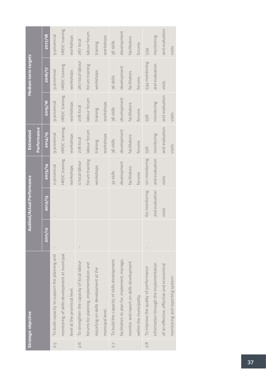|                  | Strategic objective                           |         | <b>Audited/Actual Performance</b> |                | Estimated      |                | Medium-term targets |                |
|------------------|-----------------------------------------------|---------|-----------------------------------|----------------|----------------|----------------|---------------------|----------------|
|                  |                                               |         |                                   |                | Performance    |                |                     |                |
|                  |                                               | 2011/12 | 2012/13                           | 2013/14        | 2014/15        | 2015/16        | 2016/17             | 2017/18        |
| 2.5              | To build capacity to support the planning and |         |                                   | o provincial   | 9 provincial   | 9 provincial   | 9 provincial        | 9 provincial   |
|                  | monitoring of skills development at municipal |         |                                   | HRDC training  | HRDC training  | HRDC training  | HRDC training       | HRDC training  |
|                  | level at the provincial level.                |         |                                   | workshops      | workshops      | workshops      | workshops           | workshops      |
| 9.6              | To strengthen the capacity of local labour    |         |                                   | o local labour | 278 local      | 278 local      | 267 local labour    | 267 local      |
|                  | forums for planning, implementation and       |         |                                   | forum training | labour forum   | labour forum   | forum training      | labour forum   |
|                  | reporting on skills development at the        |         |                                   | workshops      | training       | training       | workshops           | training       |
|                  | municipal level.                              |         |                                   |                | workshops      | workshops      |                     | workshops      |
| $\overline{2.7}$ | To build the capacity of skills development   |         |                                   | 32 skills      | 36 skills      | 36 skills      | 36 skills           | 36 skills      |
|                  | facilitators to plan for, implement, manage,  |         |                                   | development    | development    | development    | development         | development    |
|                  | monitor and report on skills development      |         |                                   | facilitators   | facilitators   | facilitators   | facilitators        | facilitators   |
|                  | within the municipality.                      |         |                                   | forums         | forums         | forums         | forums              | forums         |
| $\frac{8}{2}$    | To improve the quality of performance         |         | 60 monitoring                     | 121 monitoring | 556            | 556            | 534 monitoring      | 534            |
|                  | information through the implementation        |         | and evaluation                    | and evaluation | monitoring     | monitoring     | and evaluation      | monitoring     |
|                  | of an effective, effective and economical     |         | visits                            | visits         | and evaluation | and evaluation | visits              | and evaluation |
|                  | monitoring and reporting system.              |         |                                   |                | visits         | visits         |                     | visits         |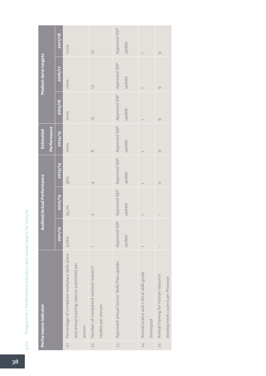Programme 2 Performance indicators and annual targets for 2015/16 4.2.2 Programme 2 Performance indicators and annual targets for 2015/16 4.2.2

|                | Performance Indicator                          |              | <b>Audited/Actual Performance</b> |              | Estimated    |               | Medium-term targets |                     |
|----------------|------------------------------------------------|--------------|-----------------------------------|--------------|--------------|---------------|---------------------|---------------------|
|                |                                                |              |                                   |              | Performance  |               |                     |                     |
|                |                                                | 2011/12      | 2012/13                           | 2013/14      | 2014/15      | 2015/16       | 2016/17             | 2017/18             |
| $\overline{c}$ | Percentage of compliant workplace skills plans | 97,8%        | 95,7%                             | 96%          | 100%         | 100%          | 100%                | <b>100%</b>         |
|                | and annual training reports submitted per      |              |                                   |              |              |               |                     |                     |
|                | munum                                          |              |                                   |              |              |               |                     |                     |
| 23             | Number of completed sectoral research          |              | $\overline{\mathcal{C}}$          | 4            | $\infty$     | $\frac{2}{3}$ | $\frac{1}{2}$       | $\frac{1}{2}$       |
|                | studies per annum                              |              |                                   |              |              |               |                     |                     |
| 23             | Approved annual Sector Skills Plan update      | Approved SSP | Approved SSP                      | Approved SSP | Approved SSP | Approved SSP  | Approved SSP        | Approved SSP        |
|                |                                                | update       | update                            | update       | update       | update        | update              | update              |
| 2.4            | Annual scarce and critical skills guide        |              |                                   |              |              |               |                     |                     |
|                | developed                                      |              |                                   |              |              |               |                     |                     |
| 2.5            | Annual training for human resource             |              | $\overline{1}$                    | $\circ$      | $\circ$      | $\circ$       | $\circ$             | $\circlearrowright$ |
|                | development council per Province               |              |                                   |              |              |               |                     |                     |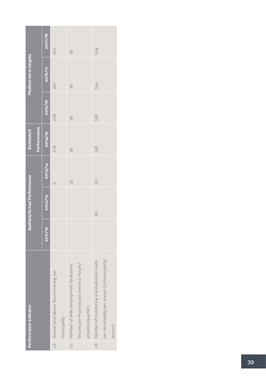|     | Performance Indicator                          |         | Audited/Actual Performance |                  | Estimated   |         | Medium-term targets |         |
|-----|------------------------------------------------|---------|----------------------------|------------------|-------------|---------|---------------------|---------|
|     |                                                |         |                            |                  | Performance |         |                     |         |
|     |                                                | 2011/12 | 2012/13                    | 2013/14          | 2014/15     | 2015/16 | 2016/17             | 2017/18 |
|     | 2.6 Annual local labour forum training per     |         |                            | $\circ$          | 278         | 278     | 267                 | 267     |
|     | municipality                                   |         |                            |                  |             |         |                     |         |
| 2.7 | Number of skills development facilitators      |         |                            | 32               | 36          | 36      | 36                  | 36      |
|     | forums per Province per annum (1 forum/        |         |                            |                  |             |         |                     |         |
|     | province/quarter)                              |         |                            |                  |             |         |                     |         |
|     | 2.8 Number of monitoring and evaluation visits |         | 60                         | $\overline{121}$ | 556         | 556     | 534                 | 534     |
|     | per municipality per annum (2/municipality/    |         |                            |                  |             |         |                     |         |
|     | annum)                                         |         |                            |                  |             |         |                     |         |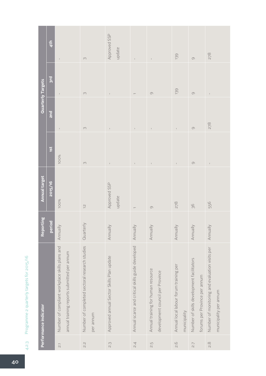| しゃく へいよう<br>ĩ<br>)<br>J                            |
|----------------------------------------------------|
| $\overline{ }$                                     |
| $\overline{\phantom{a}}$<br>$-200$ and $-200$<br>J |
| こくそくこう つ                                           |
| I                                                  |
| (<br>1<br>١<br>I                                   |
| ſ<br>١<br>Q<br>J<br>I<br>İ                         |

|                            | Performance indicator                                                                         | Reporting | <b>Annual target</b>     |                    |              | <b>Quarterly Targets</b> |                        |
|----------------------------|-----------------------------------------------------------------------------------------------|-----------|--------------------------|--------------------|--------------|--------------------------|------------------------|
|                            |                                                                                               | period    | 2015/16                  | ist                | <b>Znd</b>   | <b>Brd</b>               | 4 <sup>th</sup>        |
| $\overline{\mathcal{Z}}$ 1 | Number of compliant workplace skills plans and<br>annual training reports submitted per annum | Annually  | 100%                     | 100%               | $\mathbf I$  |                          | $\mathbf I$            |
| $\frac{2}{3}$              | Number of completed sectoral research studies<br>per annum                                    | Quarterly | $\overline{\mathcal{C}}$ | $\curvearrowright$ | $\infty$     | $\infty$                 | $\infty$               |
| S.S                        | Approved annual Sector Skills Plan update                                                     | Annually  | Approved SSP<br>update   |                    | $\bar{1}$    | $\overline{1}$           | Approved SSP<br>update |
| $\overline{2.4}$           | Annual scarce and critical skills guide developed                                             | Annually  |                          |                    | $\mathbb{I}$ |                          | $\mathbf{I}$           |
| S.5                        | Annual training for human resource<br>development council per Province                        | Annually  | $\circ$                  |                    |              | $\circlearrowleft$       |                        |
| 2.6                        | Annual local labour forum training per<br>municipality                                        | Annually  | 278                      |                    | $\mathbb{I}$ | 139                      | 139                    |
| $\overline{2.7}$           | Number of skills development facilitators<br>forums per Province per annum                    | Annually  | 36                       | $\circlearrowleft$ | $\circ$      | $\circ$                  | $\circ$                |
| $\frac{8}{2}$              | Number of monitoring and evaluation visits per<br>municipality per annum                      | Annually  | 556                      | $\mathbb{I}$       | 278          | $\mathbb{I}$             | 278                    |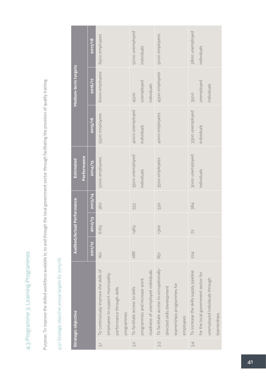4.3 Programme 3: Learning Programmes 4.3 Programme 3: Learning Programmes

Purpose: To improve the skilled workforce available in, to and through the local government sector through facilitating the provision of quality training Purpose: To improve the skilled workforce available in, to and through the local government sector through facilitating the provision of quality training

## 4.3.1 Strategic objective annual targets for 2015/16 4.3.1 Strategic objective annual targets for 2015/16

|                | Strategic objective                     |         | Audited/Actual Performance |         | Estimated       |                 | Medium-term targets |                 |
|----------------|-----------------------------------------|---------|----------------------------|---------|-----------------|-----------------|---------------------|-----------------|
|                |                                         |         |                            |         | Performance     |                 |                     |                 |
|                |                                         | 2011/12 | 2012/13                    | 2013/14 | 2014/15         | 2015/16         | 2016/17             | 2017/18         |
| $\overline{3}$ | To continuously improve the skills of   | 160     | 6165                       | 360     | 5000 employees  | 5500 employees  | 6000 employees      | 6500 employees  |
|                | employees to support municipality       |         |                            |         |                 |                 |                     |                 |
|                | performance through skills              |         |                            |         |                 |                 |                     |                 |
|                | programmes.                             |         |                            |         |                 |                 |                     |                 |
| S.S            | To facilitate access to skills          | 288     | 1463                       | 553     | 3500 unemployed | 4000 unemployed | 4500                | 5000 unemployed |
|                | programmes and increase work            |         |                            |         | individuals     | individuals     | unemployed          | individuals     |
|                | readiness of unemployed individuals.    |         |                            |         |                 |                 | individuals         |                 |
| S.S            | To facilitate access to occupationally- | 851     | 1302                       | 530     | 3500 employees  | 4000 employees  | 4500 employees      | 5000 employees  |
|                | directed skills development             |         |                            |         |                 |                 |                     |                 |
|                | learnerships programmes for             |         |                            |         |                 |                 |                     |                 |
|                | employees                               |         |                            |         |                 |                 |                     |                 |
| 3.4            | To increase the skills supply pipeline  | 224     | 72                         | 384     | 3000 unemployed | 3300 unemployed | 3500                | 3800 unemployed |
|                | for the local government sector for     |         |                            |         | individuals     | individuals     | unemployed          | individuals     |
|                | unemployed individuals through          |         |                            |         |                 |                 | individuals         |                 |
|                | learnerships.                           |         |                            |         |                 |                 |                     |                 |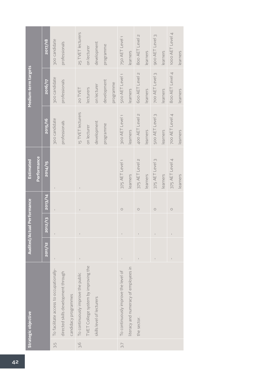| Medium-term targets<br>Performance<br><b>Estimated</b> | 2017/18<br>2016/17<br>2015/16<br>2014/15<br>2013/14 | 300 candidate<br>300 candidate<br>300 candidate | professionals<br>professionals<br>professionals |                      | 25 TVET lecturers<br>20 TVET<br>15 TVET lecturers<br>$\begin{array}{c} \rule{0pt}{2ex} \rule{0pt}{2ex} \rule{0pt}{2ex} \rule{0pt}{2ex} \rule{0pt}{2ex} \rule{0pt}{2ex} \rule{0pt}{2ex} \rule{0pt}{2ex} \rule{0pt}{2ex} \rule{0pt}{2ex} \rule{0pt}{2ex} \rule{0pt}{2ex} \rule{0pt}{2ex} \rule{0pt}{2ex} \rule{0pt}{2ex} \rule{0pt}{2ex} \rule{0pt}{2ex} \rule{0pt}{2ex} \rule{0pt}{2ex} \rule{0pt}{2ex} \rule{0pt}{2ex} \rule{0pt}{2ex} \rule{0pt}{2ex} \rule{0pt}{$<br>$\mathbf{I}$ | on lecturer<br>lecturers<br>on lecturer | development<br>on lecturer<br>development | programme<br>development<br>programme | programme | 750 AET Level 1<br>500 AET Level 1<br>300 AET Level 1<br>375 AET Level 1<br>$\circ$ | learners<br>learners<br>learners<br>learners | 800 AET Level 2<br>600 AET Level 2<br>400 AET Level 2<br>375 AET Level 2<br>$\circ$ | learners<br>learners<br>learners<br>learners | 900 AET Level 3<br>700 AET Level 3<br>500 AET Level 3<br>375 AET Level 3<br>$\bigcirc$ | learners<br>learners<br>learners<br>learners | 1000 AET Level 4<br>800 AET Level 4<br>700 AET Level 4<br>375 AET Level 4<br>$\circ$ |  |
|--------------------------------------------------------|-----------------------------------------------------|-------------------------------------------------|-------------------------------------------------|----------------------|-------------------------------------------------------------------------------------------------------------------------------------------------------------------------------------------------------------------------------------------------------------------------------------------------------------------------------------------------------------------------------------------------------------------------------------------------------------------------------------|-----------------------------------------|-------------------------------------------|---------------------------------------|-----------|-------------------------------------------------------------------------------------|----------------------------------------------|-------------------------------------------------------------------------------------|----------------------------------------------|----------------------------------------------------------------------------------------|----------------------------------------------|--------------------------------------------------------------------------------------|--|
| <b>Audited/Actual Performance</b>                      | 2012/13                                             |                                                 |                                                 |                      | $\begin{array}{c} \rule{0pt}{2ex} \rule{0pt}{2ex} \rule{0pt}{2ex} \rule{0pt}{2ex} \rule{0pt}{2ex} \rule{0pt}{2ex} \rule{0pt}{2ex} \rule{0pt}{2ex} \rule{0pt}{2ex} \rule{0pt}{2ex} \rule{0pt}{2ex} \rule{0pt}{2ex} \rule{0pt}{2ex} \rule{0pt}{2ex} \rule{0pt}{2ex} \rule{0pt}{2ex} \rule{0pt}{2ex} \rule{0pt}{2ex} \rule{0pt}{2ex} \rule{0pt}{2ex} \rule{0pt}{2ex} \rule{0pt}{2ex} \rule{0pt}{2ex} \rule{0pt}{$                                                                      |                                         |                                           |                                       |           |                                                                                     |                                              |                                                                                     |                                              |                                                                                        |                                              |                                                                                      |  |
|                                                        | 2011/12                                             |                                                 |                                                 |                      |                                                                                                                                                                                                                                                                                                                                                                                                                                                                                     |                                         |                                           |                                       |           |                                                                                     |                                              |                                                                                     |                                              |                                                                                        |                                              |                                                                                      |  |
| Strategic objective                                    |                                                     | To facilitate access to occupationally-         | directed skills development through             | candidacy programmes | To continuously improve the public                                                                                                                                                                                                                                                                                                                                                                                                                                                  | TVET College system by improving the    | skills level of lecturers                 |                                       |           | To continuously improve the level of                                                | literacy and numeracy of employees in        | the sector.                                                                         |                                              |                                                                                        |                                              |                                                                                      |  |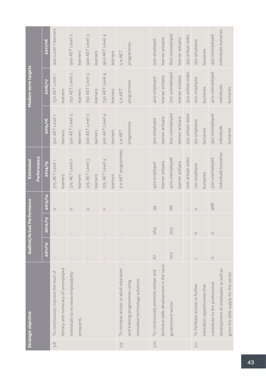|      | Strategic objective                                               |             | <b>Audited/Actual Performance</b> |               | Estimated             |                   | Medium-term targets   |                       |
|------|-------------------------------------------------------------------|-------------|-----------------------------------|---------------|-----------------------|-------------------|-----------------------|-----------------------|
|      |                                                                   |             |                                   |               | Performance           |                   |                       |                       |
|      |                                                                   | 2011/12     | 2/13<br>$\overline{20}$           | 2013/14       | 2014/15               | 2015/16           | 2016/17               | <b>2017/18</b>        |
| 3.8  | To continuously improve the level of                              | $\mathsf I$ |                                   | $\bigcirc$    | 375 AET Level 1       | 500 AET Level 1   | 750 AET Level 1       | 900 Level 1 learners  |
|      | literacy and numeracy of unemployed                               |             |                                   |               | learners              | learners          | learners              |                       |
|      | individuals to increase employability                             |             |                                   | $\bigcirc$    | 375 AET Level 2       | 500 AET Level 2   | 750 AET Level 2       | 900 AET Level 2       |
|      | prospects.                                                        |             |                                   |               | learners              | learners          | learners              | learners              |
|      |                                                                   |             |                                   | $\bigcirc$    | 375 AET Level 3       | 500 AET Level 3   | 750 AET Level 3       | 900 AET Level 3       |
|      |                                                                   |             |                                   |               | learners              | learners          | earners               | learners              |
|      |                                                                   |             |                                   | $\bigcirc$    | 375 AET Level 4       | 500 AET Level 4   | 750 AET Level 4       | 900 AET Level 4       |
|      |                                                                   |             |                                   |               | earners               | learners          | earners               | learners              |
| 3.9  | To increase access to adult education                             |             |                                   | $\mathsf I$   | 3 e-AET programmes    | 5e-AET            | 5e-AET                | 5e-AET                |
|      | innovative technology solutions.<br>and training programmes using |             |                                   |               |                       | programmes        | programmes            | programmes            |
| 3.10 | To continuously promote artisan and                               | 67          | 264                               | 39            | 400 employed          | 300 employed      | 400 employed          | 500 employed          |
|      | technical skills development in the local                         |             |                                   |               | learner artisans      | learner artisans  | learner artisans      | learner artisans      |
|      | government sector.                                                | 202         | 203                               | $\frac{8}{2}$ | 400 unemployed        | 600 unemployed    | <b>700</b> unemployed | 800 unemployed        |
|      |                                                                   |             |                                   |               | earner artisans       | learner artisans  | earner artisans       | learner artisans      |
|      |                                                                   |             | $\mathbf{I}$                      | $\mathbb{I}$  | 200 artisan aides     | 250 artisan aides | 300 artisan aides     | 350 artisan aides     |
| 3.11 | To facilitate access to further                                   |             | $\circlearrowright$               | $\bigcirc$    | 100 employee          | 150 employee      | 200 employee          | 250 employee          |
|      | education opportunities that                                      |             |                                   |               | bursaries             | bursaries         | bursaries             | bursaries             |
|      | contribute to the professional                                    | $\bigcirc$  | $\bigcirc$                        | 488           | 300 unemployed        | 350 unemployed    | 400 unemployed        | 450 unemployed        |
|      | development of employees as well as                               |             |                                   |               | individuals bursaries | individuals       | individuals           | individuals bursaries |
|      | grow the skills supply for the sector.                            |             |                                   |               |                       | bursaries         | bursaries             |                       |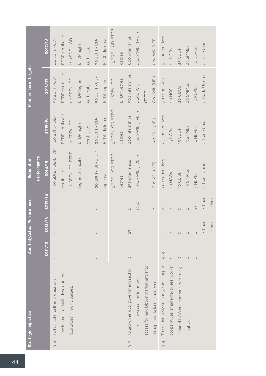|                                   |             | 2017/18 | 40 SDFs - OD-                                                                                                                                                                                                                                                                                                                                                                                                  | ETDP certificate                  | 100 SDFs - OD-                  | ETDP higher        | certificate | 70 SDFs - OD-     | ETDP diploma | 15 SDFs - OD-ETDP | degree      | 600 internships                     | 4500 WIL (TVET)                 |                                       | 900 WIL (HEI)                 | 35 cooperatives                       | 25 NGOs                                 | 25 CBOs                              | 25 SMMEs    | 10 NLPES   | 2 Trade Unions |        |
|-----------------------------------|-------------|---------|----------------------------------------------------------------------------------------------------------------------------------------------------------------------------------------------------------------------------------------------------------------------------------------------------------------------------------------------------------------------------------------------------------------|-----------------------------------|---------------------------------|--------------------|-------------|-------------------|--------------|-------------------|-------------|-------------------------------------|---------------------------------|---------------------------------------|-------------------------------|---------------------------------------|-----------------------------------------|--------------------------------------|-------------|------------|----------------|--------|
| Medium-term targets               |             | 2016/17 | 50 SDFs - OD-                                                                                                                                                                                                                                                                                                                                                                                                  | ETDP certificate                  | 90 SDFs - OD-                   | ETDP higher        | certificate | 50 SDFs - OD-     | ETDP diploma | 10 SDFs - OD-     | ETDP degree | 500 internships                     | <b>AOOO WIL</b>                 | (TVET)                                | 800 WIL (HEI)                 | 30 cooperatives                       | 20 NGOS                                 | 20 CBOs                              | 20 SMMES    | 15 NLPES   | 2 Trade Unions |        |
|                                   |             | 2015/16 | 100 SDFs - OD-                                                                                                                                                                                                                                                                                                                                                                                                 | ETDP certificate                  | 75 SDFs - OD-                   | ETDP higher        | certificate | 20 SDFs - OD-     | ETDP diploma | 5 SDFs - OD-ETDP  | degree      | 400 internships                     | 3600 WIL (TVET)                 |                                       | 700 WIL (HEI)                 | 25 cooperatives                       | 15 NGOs                                 | 15 CBOs                              | 15 SMMEs    | 10 NLPES   | 2 Trade Unions |        |
| Estimated                         | Performance | 2014/15 | 100 SDFs - OD-ETDP                                                                                                                                                                                                                                                                                                                                                                                             | certificate                       | 75 SDFs - OD-ETDP               | higher certificate |             | 20 SDFs - OD-ETDP | diploma      | 5 SDFs - OD-ETDP  | degree      | 250 internships                     | 3000 WIL (TVET)                 |                                       | 600 WIL (HEI)                 | 20 cooperatives                       | 10 NGOS                                 | 10 CBO <sub>S</sub>                  | 10 SMMEs    | 5 NLPES    | 2 Trade Unions |        |
|                                   |             | 2013/14 |                                                                                                                                                                                                                                                                                                                                                                                                                |                                   | $\mathbb{I}$                    |                    |             |                   |              | $\mathbf{I}$      |             | $\circ$                             | 1292                            |                                       | $\circ$                       | 22                                    | $\circ$                                 | $\circ$                              | $\circ$     | 27         | 2 Trade        | Unions |
| <b>Audited/Actual Performance</b> |             | 2012/13 |                                                                                                                                                                                                                                                                                                                                                                                                                |                                   |                                 |                    |             |                   |              |                   |             | 27                                  |                                 |                                       |                               | $\circ$                               | $\circ$                                 | $\circ$                              | $\circ$     | $\circ$    | 2 Trade        | Unions |
|                                   |             | 2011/12 | $\begin{array}{c} \rule{0pt}{2ex} \rule{0pt}{2ex} \rule{0pt}{2ex} \rule{0pt}{2ex} \rule{0pt}{2ex} \rule{0pt}{2ex} \rule{0pt}{2ex} \rule{0pt}{2ex} \rule{0pt}{2ex} \rule{0pt}{2ex} \rule{0pt}{2ex} \rule{0pt}{2ex} \rule{0pt}{2ex} \rule{0pt}{2ex} \rule{0pt}{2ex} \rule{0pt}{2ex} \rule{0pt}{2ex} \rule{0pt}{2ex} \rule{0pt}{2ex} \rule{0pt}{2ex} \rule{0pt}{2ex} \rule{0pt}{2ex} \rule{0pt}{2ex} \rule{0pt}{$ |                                   |                                 |                    |             |                   |              |                   |             | $\circ$                             |                                 |                                       |                               | 439                                   | $\circ$                                 | $\circ$                              | $\bigcirc$  | $\bigcirc$ |                |        |
| Strategic objective               |             |         | To facilitate further professional                                                                                                                                                                                                                                                                                                                                                                             | development of skills development | facilitators in municipalities. |                    |             |                   |              |                   |             | To grow the local government sector | as a training space and improve | access for new labour market entrants | through workplace experience. | To continuously encourage and support | cooperatives, small enterprises, worker | initiated NGO and community training | initiatives |            |                |        |
|                                   |             |         | 3.12                                                                                                                                                                                                                                                                                                                                                                                                           |                                   |                                 |                    |             |                   |              |                   |             | 3.13                                |                                 |                                       |                               | 3.14                                  |                                         |                                      |             |            |                |        |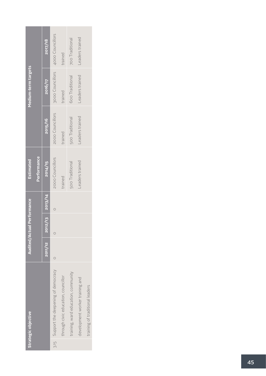| Strategic objective                     |         | <b>Audited/Actual Performance</b> |         | Estimated        |                  | Medium-term targets |                  |
|-----------------------------------------|---------|-----------------------------------|---------|------------------|------------------|---------------------|------------------|
|                                         |         |                                   |         | Performance      |                  |                     |                  |
|                                         | 2011/12 | $2012/13$ 2013/14                 |         | 2014/15          | 2015/16          | 2016/17             | 2017/18          |
| 3.15 Support the deepening of democracy |         | $\circ$                           | $\circ$ | 2000 Councillors | 2000 Councillors | 3000 Councillors    | 4000 Councillors |
| through civic education, councillor     |         |                                   |         | trained          | trained          | trained             | trained          |
| training, ward education, community     |         |                                   |         | 500 Traditional  | 500 Traditional  | 600 Traditional     | 700 Traditional  |
| development worker training and         |         |                                   |         | Leaders trained  | Leaders trained  | Leaders trained     | Leaders trained  |
| training of traditional leaders         |         |                                   |         |                  |                  |                     |                  |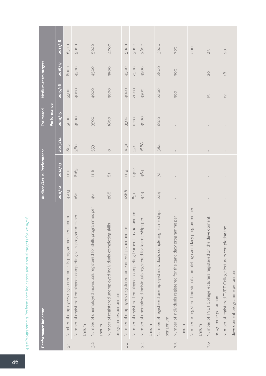|                           | Performance Indicator                                                              |               | Audited/Actual Performance |              | Estimated    | Medium-term targets      |                |            |
|---------------------------|------------------------------------------------------------------------------------|---------------|----------------------------|--------------|--------------|--------------------------|----------------|------------|
|                           |                                                                                    |               |                            |              | Performance  |                          |                |            |
|                           |                                                                                    | 2011/12       | 2012/13                    | 2013/14      | 2014/15      | 2015/16                  | 2016/17        | 2017/18    |
| $\widetilde{\mathcal{C}}$ | Number of employees registered for skills programmes per annum                     | 4703          | 1110                       | 805          | 5000         | 5500                     | 6000           | 6500       |
|                           | Number of registered employees completing skills programmes per                    | 160           | 6165                       | <b>360</b>   | 3000         | 4000                     | 4500           | 5000       |
|                           | munua                                                                              |               |                            |              |              |                          |                |            |
| 3.S                       | ammes per<br>Number of unemployed individuals registered for skills progr<br>munum | $\frac{4}{5}$ | 1118                       | 553          | 3500         | 4000                     | 4500           | 5000       |
|                           | Number of registered unemployed individuals completing skills                      | 288           | $\overline{\infty}$        | $\circ$      | 1800         | 3000                     | 3500           | 4000       |
|                           | programmes per annum                                                               |               |                            |              |              |                          |                |            |
| 3.3                       | Number of employees registered for learnerships per annum                          | 1866          | 1119                       | 1031         | 3500         | 4000                     | 4500           | 5000       |
|                           | Number of registered employees completing learnerships per annum                   | $851$         | 1302                       | 530          | 1200         | 2000                     | 2500           | 3000       |
| 3.4                       | per<br>$\cup$<br>Number of unemployed individuals registered for learnership       | 943           | 364                        | 1888         | 3000         | 3300                     | 3500           | 3800       |
|                           | munum                                                                              |               |                            |              |              |                          |                |            |
|                           | Number of registered unemployed individuals completing learnerships                | 224           | 72                         | 384          | 1800         | <b>2200</b>              | 2800           | 3000       |
|                           | per annum                                                                          |               |                            |              |              |                          |                |            |
| ς.ς                       | Number of individuals registered for the candidacy programme per                   |               |                            |              |              | <b>300</b>               | 300            | 300        |
|                           | munum                                                                              |               |                            |              |              |                          |                |            |
|                           | Number or registered individuals completing candidacy programme per                | $\mathbf{I}$  |                            |              |              |                          |                | <b>POO</b> |
|                           | munum                                                                              |               |                            |              |              |                          |                |            |
| 3.6                       | Number of TVET College lecturers registered on the development                     |               | $\mathbf{I}$               |              | $\mathbf{I}$ | $\overline{\Box}$        | $\overline{0}$ | 25         |
|                           | programme per annum                                                                |               |                            |              |              |                          |                |            |
|                           | Number of registered TVET College lecturers completing the                         | $\mathbb{I}$  | $\mathsf I$                | $\mathbb{I}$ | $\mathsf I$  | $\overline{\mathcal{C}}$ | $\overline{0}$ | $\gtrsim$  |
|                           | development programme per annum                                                    |               |                            |              |              |                          |                |            |

4.3.2Programme 3 Performance indicators and annual targets for 2015/16 4.3.2Programme 3 Performance indicators and annual targets for 2015/16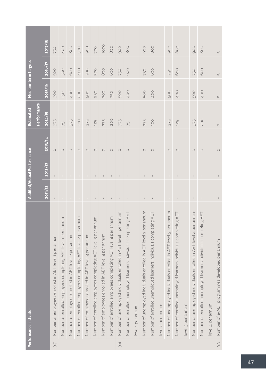|                          | Performance Indicator                                              |              | Audited/Actual Performance |            | Estimated   | Medium-term targets |                  |                          |
|--------------------------|--------------------------------------------------------------------|--------------|----------------------------|------------|-------------|---------------------|------------------|--------------------------|
|                          |                                                                    |              |                            |            | Performance |                     |                  |                          |
|                          |                                                                    | 2011/12      | 2012/13                    | 2013/14    | 2014/15     | 2015/16             | <b>ZO16/17</b>   | 2017/18                  |
| $\overline{\rightarrow}$ | Number of employees enrolled in AET level 1 per annum              |              |                            | $\circ$    | 375         | 300                 | 500              | 750                      |
|                          | Number of enrolled employees completing AET level 1 per annum      | $\mathbb{L}$ | $\mathbb{I}$               | $\bigcirc$ | 75          | 150                 | 300              | 400                      |
|                          | Number of employees enrolled in AET level 2 per annum              | $\mathbf{I}$ | $\perp$                    | $\bigcirc$ | 375         | 400                 | 600              | 800                      |
|                          | Number of enrolled employees completing AET level 2 per annum      | $\perp$      | $\pm$                      | $\bigcirc$ | 100         | <b>200</b>          | 400              | 500                      |
|                          | Number of employees enrolled in AET level 3 per annum              | $\mathsf{I}$ | $\mathsf{I}$               | $\circ$    | 375         | <b>500</b>          | 700              | 900                      |
|                          | Number of enrolled employees completing AET level 3 per annum      | $\mathsf{I}$ | $\mathbb{I}$               | $\circ$    | 125         | 250                 | 500              | <b>DOZ</b>               |
|                          | Number of employees enrolled in AET level 4 per annum              | $\mathsf I$  | $\mathsf I$                | $\circ$    | 375         | <b>DO</b>           | 800              | 1000                     |
|                          | Number of enrolled employees completing AET level 4 per annum      | $\mathbf{I}$ | $\mathsf I$                | $\circ$    | <b>SO2</b>  | 350                 | 600              | 800                      |
| 3.8                      | Number of unemployed individuals enrolled in AET level 1 per annum |              |                            | $\circ$    | 375         | <b>500</b>          | 750              | 900                      |
|                          | Number of enrolled unemployed learners individuals completing AET  | $\perp$      | $\,$ $\,$                  | $\bigcirc$ | 75          | 400                 | 600              | 800                      |
|                          | level 1 per annum                                                  |              |                            |            |             |                     |                  |                          |
|                          | Number of unemployed individuals enrolled in AET level 2 per annum | $\mathbb{L}$ | $\mathsf{I}$               | $\bigcirc$ | 375         | <b>500</b>          | 750              | 900                      |
|                          | Number of enrolled unemployed learners individuals completing AE   | $\mathbb{L}$ | $\mathsf I$                | $\bigcirc$ | <b>100</b>  | 400                 | 600              | 800                      |
|                          | level 2 per annum                                                  |              |                            |            |             |                     |                  |                          |
|                          | Number of unemployed individuals enrolled in AET level 3 per annum |              |                            | $\circ$    | 375         | 500                 | 750              | 900                      |
|                          | Number of enrolled unemployed learners individuals completing AET  |              |                            | $\bigcirc$ | 125         | 400                 | 600              | 800                      |
|                          | level 3 per annum                                                  |              |                            |            |             |                     |                  |                          |
|                          | Number of unemployed individuals enrolled in AET level 4 per annum | $\mathsf I$  | $\mathsf I$                | $\circ$    | 375         | 500                 | 750              | 900                      |
|                          | Number of enrolled unemployed learners individuals completing AET  | $\mathsf I$  |                            | $\circ$    | <b>200</b>  | 400                 | 600              | 800                      |
|                          | level 4 per annum                                                  |              |                            |            |             |                     |                  |                          |
| 39                       | Number of e-AET programmes developed per annum                     |              |                            | $\bigcirc$ | $\infty$    | $\mathsf{L}\cap$    | $\mathsf{L}\cap$ | $\mathop{\hbox{\rm LO}}$ |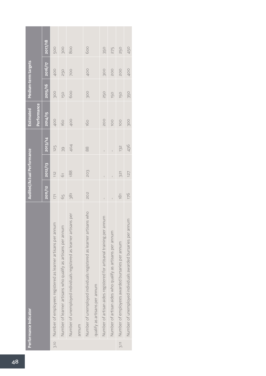|      | Performance Indicator                                               |                | Audited/Actual Performance |                | <b>Estimated</b> |         | Medium-term targets |            |
|------|---------------------------------------------------------------------|----------------|----------------------------|----------------|------------------|---------|---------------------|------------|
|      |                                                                     |                |                            |                | Performance      |         |                     |            |
|      |                                                                     | 2011/12        | 2012/13                    | 2013/14        | 2014/15          | 2015/16 | 2016/17             | 2017/18    |
| 3.10 | Number of employees registered as learner artisans per annum        | 171            | $\frac{1}{2}$              | 125            | 400              | 300     | 400                 | <b>PO5</b> |
|      | Number of learner artisans who qualify as artisans per annum        | 65             | 61                         | 39             | 160              | 150     | 250                 | <b>POS</b> |
|      | Number of unemployed individuals registered as learner artisans per | 381            | 188                        | 404            | 400              | 600     | <b>DOZ</b>          | 800        |
|      | munum                                                               |                |                            |                |                  |         |                     |            |
|      | Number of unemployed individuals registered as learner artisans who | 202            | 203                        | $80^{\circ}$   | 160              | 300     | 400                 | 600        |
|      | qualify as artisans per annum                                       |                |                            |                |                  |         |                     |            |
|      | Number of artisan aides registered for artisanal training per annum | $\overline{1}$ | $\overline{1}$             | $\overline{1}$ | <b>POO</b>       | 250     | 300                 | 350        |
|      | Number of artisan aides who qualify as artisans per annum           |                |                            |                | 100              | 150     | <b>POO</b>          | 275        |
| 3.11 | Number of employees awarded bursaries per annum                     | $\overline{3}$ | 321                        | 132            | 100              | 150     | <b>POO</b>          | 250        |
|      | Number of unemployed individuals awarded bursaries per annum        | 176            | 127                        | 436            | 300              | 350     | 400                 | 450        |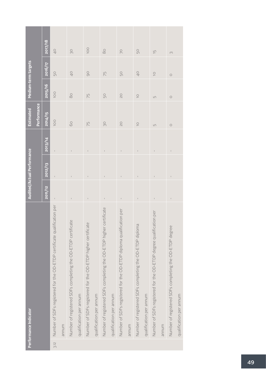|      | Performance Indicator                                                   |                | Audited/Actual Performance                                                                                                                                                                                                                                                                                                                                                                                     |                | <b>Estimated</b> | Medium-term targets       |                |                   |
|------|-------------------------------------------------------------------------|----------------|----------------------------------------------------------------------------------------------------------------------------------------------------------------------------------------------------------------------------------------------------------------------------------------------------------------------------------------------------------------------------------------------------------------|----------------|------------------|---------------------------|----------------|-------------------|
|      |                                                                         |                |                                                                                                                                                                                                                                                                                                                                                                                                                |                | Performance      |                           |                |                   |
|      |                                                                         | 2011/12        | 2012/13                                                                                                                                                                                                                                                                                                                                                                                                        | 2013/14        | 2014/15          | 2015/16                   | 2016/17        | <b>2017/18</b>    |
| 3.12 | Number of SDFs registered for the OD-ETDP certificate qualification per | $\bar{1}$      | $\begin{array}{c} \rule{0pt}{2ex} \rule{0pt}{2ex} \rule{0pt}{2ex} \rule{0pt}{2ex} \rule{0pt}{2ex} \rule{0pt}{2ex} \rule{0pt}{2ex} \rule{0pt}{2ex} \rule{0pt}{2ex} \rule{0pt}{2ex} \rule{0pt}{2ex} \rule{0pt}{2ex} \rule{0pt}{2ex} \rule{0pt}{2ex} \rule{0pt}{2ex} \rule{0pt}{2ex} \rule{0pt}{2ex} \rule{0pt}{2ex} \rule{0pt}{2ex} \rule{0pt}{2ex} \rule{0pt}{2ex} \rule{0pt}{2ex} \rule{0pt}{2ex} \rule{0pt}{$ | $\overline{1}$ | 1OO              | 100                       | 50             | $\frac{1}{2}$     |
|      | annum                                                                   |                |                                                                                                                                                                                                                                                                                                                                                                                                                |                |                  |                           |                |                   |
|      | Number of registered SDFs completing the OD-ETDP certificate            |                |                                                                                                                                                                                                                                                                                                                                                                                                                |                | 60               | $\rm{SO}$                 | $\overline{0}$ | SO                |
|      | qualification per annum                                                 |                |                                                                                                                                                                                                                                                                                                                                                                                                                |                |                  |                           |                |                   |
|      | Number of SDFs registered for the OD-ETDP higher certificate            |                |                                                                                                                                                                                                                                                                                                                                                                                                                |                | 75               | 75                        | 90             | <b>100</b>        |
|      | qualification per annum                                                 |                |                                                                                                                                                                                                                                                                                                                                                                                                                |                |                  |                           |                |                   |
|      | Number of registered SDFs completing the OD-ETDP higher certificate     | $\mathbf{I}$   |                                                                                                                                                                                                                                                                                                                                                                                                                |                | SO               | $\mathbb{S}^{\mathbb{O}}$ | 75             | $\rm{SO}$         |
|      | qualification per annum                                                 |                |                                                                                                                                                                                                                                                                                                                                                                                                                |                |                  |                           |                |                   |
|      | Number of SDFs registered for the OD-ETDP diploma qualification per     | $\bar{1}$      | $\mathsf I$                                                                                                                                                                                                                                                                                                                                                                                                    | $\overline{1}$ | $\overline{0}$   | OZ                        | 50             | 20                |
|      | munum                                                                   |                |                                                                                                                                                                                                                                                                                                                                                                                                                |                |                  |                           |                |                   |
|      | Number of registered SDFs completing the OD-ETDP diploma                | $\overline{1}$ | $\overline{1}$                                                                                                                                                                                                                                                                                                                                                                                                 | $\overline{1}$ | $\supseteq$      | $\overline{C}$            | $\frac{1}{2}$  | $50\,$            |
|      | qualification per annum                                                 |                |                                                                                                                                                                                                                                                                                                                                                                                                                |                |                  |                           |                |                   |
|      | Number of SDFs registered for the OD-ETDP degree qualification per      | $\bar{1}$      | $\bar{1}$                                                                                                                                                                                                                                                                                                                                                                                                      | $\bar{1}$      | $\overline{L}$   | $\overline{L}$            | $\supseteq$    | $\overline{\Box}$ |
|      | munum                                                                   |                |                                                                                                                                                                                                                                                                                                                                                                                                                |                |                  |                           |                |                   |
|      | Number of registered SDFs completing the OD-ETDP degree                 | $\mathbf{I}$   | $\mathsf I$                                                                                                                                                                                                                                                                                                                                                                                                    | $\mathsf I$    | $\bigcirc$       | $\bigcirc$                | $\circ$        | $\infty$          |
|      | qualification per annum                                                 |                |                                                                                                                                                                                                                                                                                                                                                                                                                |                |                  |                           |                |                   |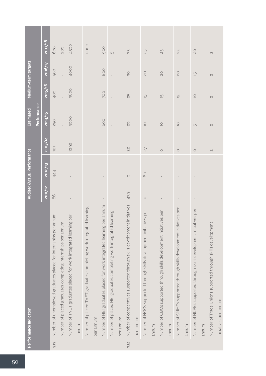|      | Performance Indicator                                                   |              | Audited/Actual Performance |                  | <b>Estimated</b>      | Medium-term targets   |                   |                |
|------|-------------------------------------------------------------------------|--------------|----------------------------|------------------|-----------------------|-----------------------|-------------------|----------------|
|      |                                                                         |              |                            |                  | Performance           |                       |                   |                |
|      |                                                                         | 2011/12      | 2012/13                    | 2013/14          | 2014/15               | 2015/16               | 2016/17           | 2017/18        |
| 3.13 | Number of unemployed graduates placed for internships per annum         | 86           | 344                        | $\overline{121}$ | 250                   | 400                   | 500               | 600            |
|      | Number of placed graduates completing internships per annum             |              |                            |                  |                       |                       | $\mathbf{I}$      | <b>200</b>     |
|      | Number of TVET graduates placed for work integrated learning per        | $\mathsf I$  |                            | 1292             | 3000                  | 3600                  | 4000              | 4500           |
|      | annum                                                                   |              |                            |                  |                       |                       |                   |                |
|      | Number of placed TVET graduates completing work integrated learning     |              |                            |                  |                       |                       |                   | <b>2000</b>    |
|      | per annum                                                               |              |                            |                  |                       |                       |                   |                |
|      | Number of HEI graduates placed for work integrated learning per annum   |              |                            |                  | 600                   | <b>POO</b>            | 800               | 900            |
|      | Number of placed HEI graduates completing work integrated learning      |              |                            |                  |                       |                       |                   | $\overline{L}$ |
|      | per annum                                                               |              |                            |                  |                       |                       |                   |                |
| 3.14 | Number of cooperatives supported through skills development initiatives | 439          | $\circ$                    | $\lesssim$       | $\overline{c}$        | $\Xi$                 | SO                | 35             |
|      | per annum                                                               |              |                            |                  |                       |                       |                   |                |
|      | Number of NGOs supported through skills development initiatives per     | $\bigcirc$   | $_{\infty}^{\circ}$        | 27               | $\overline{\bigcirc}$ | $\overline{\Box}$     | $\overline{0}$    | ЯZ             |
|      | annum                                                                   |              |                            |                  |                       |                       |                   |                |
|      | Number of CBOs supported through skills development initiatives per     | $\mathbb{I}$ |                            | $\bigcirc$       | $\supseteq$           | $\overline{\Box}$     | $\overline{0}$    | 25             |
|      | munum                                                                   |              |                            |                  |                       |                       |                   |                |
|      | Number of SMMEs supported through skills development initiatives per    |              |                            | $\bigcirc$       | $\supseteq$           | $\overline{\Box}$     | $\overline{0}$    | 25             |
|      | munum                                                                   |              |                            |                  |                       |                       |                   |                |
|      | Number of NLPEs supported through skills development initiatives per    | $\mathbb{I}$ |                            | $\bigcirc$       | $\Box$                | $\overline{\bigcirc}$ | $\overline{\Box}$ | $\gtrsim$      |
|      | munum                                                                   |              |                            |                  |                       |                       |                   |                |
|      | Number of Trade Unions supported through skills development             |              |                            | $\sim$           | $\mathcal{O}$         | $\mathcal{N}$         | $\mathcal{N}$     | $\mathcal{O}$  |
|      | initiatives per annum                                                   |              |                            |                  |                       |                       |                   |                |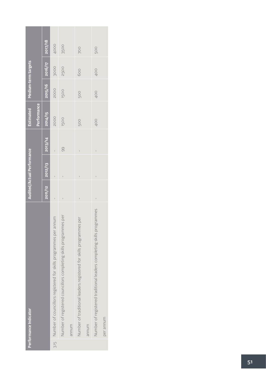| Performance Indicator                                                 |                 | Audited/Actual Performance |                | Estimated          | Medium-term targets |             |            |
|-----------------------------------------------------------------------|-----------------|----------------------------|----------------|--------------------|---------------------|-------------|------------|
|                                                                       |                 |                            |                | <b>Performance</b> |                     |             |            |
|                                                                       | 2011/12 2012/13 |                            | 2013/14        | 2014/15            | 2015/16             | 2016/17     | 2017/18    |
| 3.15 Number of councillors registered for skills programmes per annum | $\mathbf{I}$    |                            |                | <b>2000</b>        | <b>2000</b>         | 3000        | 4000       |
| Number of registered councillors completing skills programmes per     | Ï               |                            | 99             | <b>1500</b>        | 1500                | <b>2500</b> | 3500       |
| mundra                                                                |                 |                            |                |                    |                     |             |            |
| Number of traditional leaders registered for skills programmes per    | $\overline{1}$  |                            | $\overline{1}$ | 500                | 500                 | 600         | <b>POO</b> |
| mundra                                                                |                 |                            |                |                    |                     |             |            |
| Number of registered traditional leaders completing skills programmes | $\overline{1}$  | $\mathbf{I}$               | $\mathbf{I}$   | 400                | 400                 | 400         | 500        |
| per annum                                                             |                 |                            |                |                    |                     |             |            |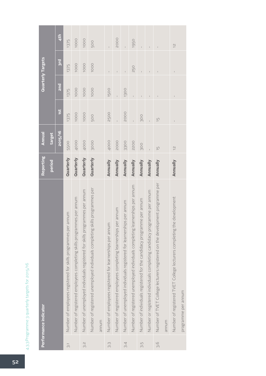|                           | Performance indicator                                                         | Reporting       | Annual         |               |                | <b>Quarterly Targets</b> |                 |
|---------------------------|-------------------------------------------------------------------------------|-----------------|----------------|---------------|----------------|--------------------------|-----------------|
|                           |                                                                               | <b>Period</b>   | target         |               |                |                          |                 |
|                           |                                                                               |                 | 2015/16        | 1st           | <b>Duz</b>     | 3rd                      | 4 <sup>th</sup> |
| $\overline{\mathfrak{S}}$ | Number of employees registered for skills programmes per annum                | Quarterly       | 5500           | 1375          | 1375           | 1375                     | 1375            |
|                           | Number of registered employees completing skills programmes per annum         | Quarterly       | 4000           | 1000          | 1000           | 1000                     | 1000            |
| S.S                       | Number of unemployed individuals registered for skills programmes per annum   | Quarterly       | 4000           | 1000          | 1000           | 1000                     | 1000            |
|                           | Number of registered unemployed individuals completing skills programmes per  | Quarterly       | 3000           | 500           | 1000           | <b>1000</b>              | 500             |
|                           | annum                                                                         |                 |                |               |                |                          |                 |
| 33                        | Number of employees registered for learnerships per annum                     | Annually        | 4000           | 2500          | 1500           | $\mathsf I$              |                 |
|                           | Number of registered employees completing learnerships per annum              | Annually        | <b>2000</b>    |               |                |                          | 2000            |
| $\overline{34}$           | Number of unemployed individuals registered for learnerships per annum        | Annually        | 3300           | 2000          | 1300           |                          |                 |
|                           | Number of registered unemployed individuals completing learnerships per annum | Annually        | <b>2200</b>    |               | $\overline{1}$ | 250                      | 1950            |
| S.i                       | Number of individuals registered for the candidacy programme per annum        | Annually        | <b>300</b>     | 300           | $\overline{1}$ | $\mathbf{I}$             | $\mathbf{I}$    |
|                           | Number or registered individuals completing candidacy programme per annum     | Annually        |                |               |                | $\overline{1}$           | $\bar{1}$       |
| 3.6                       | Number of TVET College lecturers registered on the development programme per  | Annually        | $\overline{5}$ | $\frac{1}{2}$ |                |                          | $\mathbf{I}$    |
|                           | annum                                                                         |                 |                |               |                |                          |                 |
|                           | Number of registered TVET College lecturers completing the development        | <b>Annually</b> | $\frac{1}{2}$  |               |                |                          | $\frac{1}{2}$   |
|                           | programme per annum                                                           |                 |                |               |                |                          |                 |

## 4.3.3 Programme 3 quarterly targets for 2015/16 4.3.3Programme 3 quarterly targets for 2015/16

a sa salawan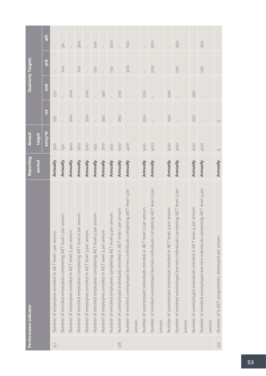|                   | Performance indicator                                                         | Reporting     | <b>Annual</b>    |            |              | Quarterly Targets |                 |
|-------------------|-------------------------------------------------------------------------------|---------------|------------------|------------|--------------|-------------------|-----------------|
|                   |                                                                               | <b>Period</b> | target           |            |              |                   |                 |
|                   |                                                                               |               | 2015/16          | <b>ist</b> | <b>Duz</b>   | 3rd               | 4 <sup>th</sup> |
| $\overline{\sim}$ | Number of employees enrolled in AET level 1 per annum                         | Annually      | 300              | 150        | 150          |                   |                 |
|                   | munum<br>Number of enrolled employees completing AET level 1 per              | Annually      | 150              |            |              | <b>100</b>        | 50              |
|                   | Number of employees enrolled in AET level 2 per annum                         | Annually      | 400              | <b>200</b> | <b>POO</b>   |                   |                 |
|                   | Number of enrolled employees completing AET level 2 per annum                 | Annually      | <b>200</b>       | $\bar{1}$  | $\mathbf{L}$ | <b>100</b>        | <b>300</b>      |
|                   | Number of employees enrolled in AET level 3 per annum                         | Annually      | <b>500</b>       | 300        | <b>POO</b>   |                   |                 |
|                   | annum<br>Number of enrolled employees completing AET level 3 per              | Annually      | 250              |            | í.           | 150               | 100             |
|                   | Number of employees enrolled in AET level 4 per annum                         | Annually      | <b>POO</b>       | 350        | 350          |                   |                 |
|                   | Number of enrolled employees completing AET level 4 per annum                 | Annually      | 350              |            |              | 150               | <b>200</b>      |
| 3.8               | per annum<br>Number of unemployed individuals enrolled in AET level 1         | Annually      | <b>500</b>       | 250        | 250          |                   |                 |
|                   | Number of enrolled unemployed learners individuals completing AET level 1 per | Annually      | 400              |            |              | 300               | 100             |
|                   | munum                                                                         |               |                  |            |              |                   |                 |
|                   | per annum<br>Number of unemployed individuals enrolled in AET level 2         | Annually      | 500              | 250        | 250          | $\mathbf{I}$      | $\mathbf{I}$    |
|                   | Number of enrolled unemployed learners individuals completing AET level 2 per | Annually      | 400              |            |              | <b>200</b>        | <b>200</b>      |
|                   | munum                                                                         |               |                  |            |              |                   |                 |
|                   | per annum<br>Number of unemployed individuals enrolled in AET level 3         | Annually      | <b>500</b>       | 250        | 250          |                   |                 |
|                   | Number of enrolled unemployed learners individuals completing AET level 3 per | Annually      | 400              |            |              | 150               | 250             |
|                   | munum                                                                         |               |                  |            |              |                   |                 |
|                   | per annum<br>Number of unemployed individuals enrolled in AET level 4         | Annually      | <b>500</b>       | 250        | 250          |                   |                 |
|                   | Number of enrolled unemployed learners individuals completing AET level 4 per | Annually      | 400              |            |              | 1OO               | <b>300</b>      |
|                   | munum                                                                         |               |                  |            |              |                   |                 |
| 3.9               | Number of e-AET programmes developed per annum                                | Annually      | $\mathsf{L}\cap$ | $\Box$     |              |                   |                 |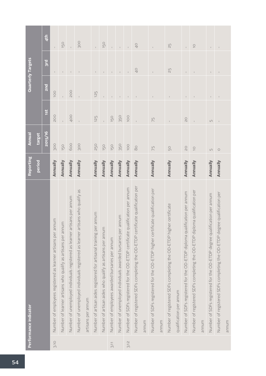|      | Performance indicator                                                          | Reporting | Annual      |                |                | Quarterly Targets       |                          |
|------|--------------------------------------------------------------------------------|-----------|-------------|----------------|----------------|-------------------------|--------------------------|
|      |                                                                                | period    | target      |                |                |                         |                          |
|      |                                                                                |           | 2015/16     | 1St            | <b>lars</b>    | $\overline{\text{3rd}}$ | 4 <sup>th</sup>          |
| 3.10 | Number of employees registered as learner artisans per annum                   | Annually  | 300         | <b>200</b>     | <b>100</b>     | $\mathsf I$             | $\mathsf I$              |
|      | Number of learner artisans who qualify as artisans per annum                   | Annually  | 150         | $\mathbf{I}$   |                | $\mathbf{I}$            | 150                      |
|      | Number of unemployed individuals registered as learner artisans per annum      | Annually  | 600         | 400            | <b>200</b>     | $\mathsf{I}$            | $\bar{\mathbb{F}}$       |
|      | Number of unemployed individuals registered as learner artisans who qualify as | Annually  | 300         |                |                | $\mathbf{I}$            | <b>900</b>               |
|      | artisans per annum                                                             |           |             |                |                |                         |                          |
|      | Number of artisan aides registered for artisanal training per annum            | Annually  | 250         | 125            | 125            | $\mathsf I$             | $\mathbf{I}$             |
|      | Number of artisan aides who qualify as artisans per annum                      | Annually  | 150         | $\mathbf{L}$   | $\mathsf{L}$   | $\mathbb{L}$            | 150                      |
| 3.11 | Number of employees awarded bursaries per annum                                | Annually  | 150         | 150            | $\overline{1}$ | $\mathbf{I}$            | $\mathbf{I}$             |
|      | annum<br>Number of unemployed individuals awarded bursaries per                | Annually  | 350         | 350            | $\mathbf{I}$   |                         |                          |
| 3.12 | Number of SDFs registered for the OD-ETDP certificate qualification per annum  | Annually  | 100         | 100            | $\mathbf{I}$   |                         |                          |
|      | Number of registered SDFs completing the OD-ETDP certificate qualification per | Annually  | $\infty$    |                |                | $\overline{0}$          | 40                       |
|      | munum                                                                          |           |             |                |                |                         |                          |
|      | Number of SDFs registered for the OD-ETDP higher certificate qualification per | Annually  | 75          | 75             |                |                         |                          |
|      | annum                                                                          |           |             |                |                |                         |                          |
|      | Number of registered SDFs completing the OD-ETDP higher certificate            | Annually  | 50          | $\mathbf{I}$   | $\mathbf{I}$   | 25                      | 55                       |
|      | qualification per annum                                                        |           |             |                |                |                         |                          |
|      | Number of SDFs registered for the OD-ETDP diploma qualification per annum      | Annually  | $\geq$      | $\overline{C}$ | $\mathbb{I}$   | $\mathbf{I}$            | $\overline{1}$           |
|      | Number of registered SDFs completing the OD-ETDP diploma qualification per     | Annually  | $\supseteq$ |                |                |                         | $\overline{\phantom{0}}$ |
|      | munum                                                                          |           |             |                |                |                         |                          |
|      | ification per annum<br>Number of SDFs registered for the OD-ETDP degree qual   | Annually  | $\Box$      | $\Box$         | $\mathbf I$    | $\mathbf{I}$            | $\mathsf I$              |
|      | Number of registered SDFs completing the OD-ETDP degree qualification per      | Annually  | $\circ$     |                | $\,$ $\,$      |                         | $\,$ $\,$                |
|      | munum                                                                          |           |             |                |                |                         |                          |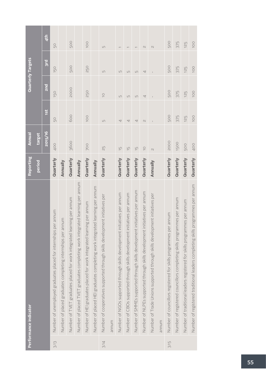|      | Performance indicator                                                           | Reporting     | Annual            |               |                | <b>Quarterly Targets</b> |                 |
|------|---------------------------------------------------------------------------------|---------------|-------------------|---------------|----------------|--------------------------|-----------------|
|      |                                                                                 | <b>Period</b> | target            |               |                |                          |                 |
|      |                                                                                 |               | 2015/16           | 1st           | <b>Duz</b>     | 3rd                      | 4 <sup>th</sup> |
| 3.13 | Number of unemployed graduates placed for internships per annum                 | Quarterly     | 400               | 50            | 150            | 150                      | 50              |
|      | Number of placed graduates completing internships per annum                     | Annually      |                   |               |                |                          |                 |
|      | Number of TVET graduates placed for work integrated learning per annum          | Quarterly     | 3600              | 600           | <b>2000</b>    | 500                      | <b>500</b>      |
|      | Number of placed TVET graduates completing work integrated learning per annum   | Annually      |                   |               |                |                          |                 |
|      | Number of HEI graduates placed for work integrated learning per annum           | Quarterly     | <b>700</b>        | <b>OOI</b>    | 250            | 250                      | OOL             |
|      | Number of placed HEI graduates completing work integrated learning per annum    | Annually      |                   |               |                |                          |                 |
| 3.14 | Number of cooperatives supported through skills development initiatives per     | Quarterly     | 25                | $\Box$        | $\frac{1}{2}$  | $\Box$                   | $\Box$          |
|      | munum                                                                           |               |                   |               |                |                          |                 |
|      | Number of NGOs supported through skills development initiatives per annum       | Quarterly     | $\overline{\Box}$ | 4             | $\overline{L}$ | $\overline{L}$           |                 |
|      | Number of CBOs supported through skills development initiatives per annum       | Quarterly     | $\overline{\Box}$ | 4             | $\sqrt{ }$     | $\Box$                   |                 |
|      | initiatives per annum<br>Number of SMMEs supported through skills development   | Quarterly     | $\overline{\Box}$ | 4             | $\overline{L}$ | $\Box$                   |                 |
|      | Number of NLPEs supported through skills development initiatives per annum      | Quarterly     | $\overline{C}$    | $\mathcal{N}$ | 4              | 4                        | $\mathcal{N}$   |
|      | Number of Trade Unions supported through skills development initiatives per     | Annually      | $\mathcal{U}$     |               |                |                          | $\mathcal{N}$   |
|      | annum                                                                           |               |                   |               |                |                          |                 |
| 3.15 | Number of councillors registered for skills programmes per annum                | Quarterly     | 2000              | 500           | 500            | 500                      | 500             |
|      | Number of registered councillors completing skills programmes per annum         | Quarterly     | 1500              | 375           | 375            | 375                      | 375             |
|      | Number of traditional leaders registered for skills programmes per annum        | Quarterly     | 500               | 125           | 125            | 125                      | 125             |
|      | Number of registered traditional leaders completing skills programmes per annum | Quarterly     | 400               | 100           | <b>100</b>     | 100                      | <b>100</b>      |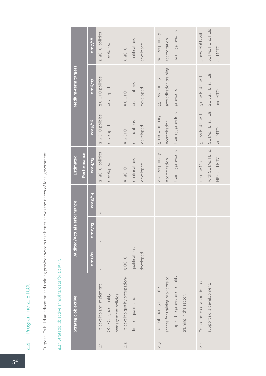Purpose: To build an education and training provider system that better serves the needs of local government Purpose: To build an education and training provider system that better serves the needs of local government

## 4.4.1 Strategic objective annual targets for 2015/16 4.4.1 Strategic objective annual targets for 2015/16

|                | Strategic objective              |                | <b>Audited/Actual Performance</b> |              | <b>Estimated</b>   |                    | Medium-term targets    |                    |
|----------------|----------------------------------|----------------|-----------------------------------|--------------|--------------------|--------------------|------------------------|--------------------|
|                |                                  |                |                                   |              | Performance        |                    |                        |                    |
|                |                                  | 2011/12        | $\overline{a}$<br>2012/           | 2013/14      | 2014/15            | 2015/16            | <b>ZO16/17</b>         | 2017/18            |
| $\overline{4}$ | To develop and implement         |                |                                   |              | 2 QCTO policies    | 2 QCTO policies    | 2 QCTO policies        | 2 QCTO policies    |
|                | QCTO aligned quality             |                |                                   |              | developed          | developed          | developed              | developed          |
|                | management policies              |                |                                   |              |                    |                    |                        |                    |
| 4.2            | To develop quality occupation-   | 3 QCTO         |                                   |              | 5 QCTO             | 5 QCTO             | 5 QCTO                 | 5 QCTO             |
|                | directed qualifications.         | qualifications |                                   |              | qualifications     | qualifications     | qualifications         | qualifications     |
|                |                                  | developed      |                                   |              | developed          | developed          | developed              | developed          |
| 4.3            | To continuously facilitate       |                |                                   |              | 40 new primary     | 50 new primary     | 55 new primary         | 60 new primary     |
|                | access for training providers to |                |                                   |              | accreditation      | accreditation      | accreditation training | accreditation      |
|                | support the provision of quality |                |                                   |              | training providers | training providers | providers              | training providers |
|                | training in the sector.          |                |                                   |              |                    |                    |                        |                    |
| 4.4            | To promote collaboration to      | $\mathsf I$    |                                   | $\mathbf{I}$ | 20 new MoUs        | 5 new MoUs with    | 5 new MoUs with        | 5 new MoUs with    |
|                | support skills development.      |                |                                   |              | with SETAs, FETs,  | SETAS, FETS, HEIS  | SETAS, FETS, HEIS      | SETAS, FETS, HEIS  |
|                |                                  |                |                                   |              | HEIs and MTCs      | and MTCs           | and MTCs               | and MTCs           |

4.4 Programme 4: ETQA

 $4.4$ 

Programme 4: ETQA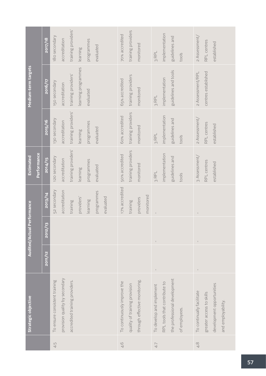|                       |             | 2017/18           | 180 secondary                 | accreditation                  | training providers'            | learning            | programmes | evaluated  |           | 70% accredited              | training providers            | monitored                     |           | 3 RPL                    | implementation               | guidelines and               | tools         | 2 Assessment/             | RPL centres              | established               |                    |  |
|-----------------------|-------------|-------------------|-------------------------------|--------------------------------|--------------------------------|---------------------|------------|------------|-----------|-----------------------------|-------------------------------|-------------------------------|-----------|--------------------------|------------------------------|------------------------------|---------------|---------------------------|--------------------------|---------------------------|--------------------|--|
| Medium-term targets   |             | <b>ZO16/17</b>    | 150 secondary                 | accreditation                  | training providers'            | learning programmes | evaluated  |            |           | 65% accredited              | training providers            | monitored                     |           | 3 RPL                    | implementation               | guidelines and tools         |               | 2 Assessment/RPL          | centres established      |                           |                    |  |
|                       |             | 2015/16           | 130 secondary                 | accreditation                  | training providers'            | learning            | programmes | evaluated  |           | 60% accredited              | training providers            | monitored                     |           | 3 RPL                    | implementation               | guidelines and               | tools         | 2 Assessment/             | RPL centres              | established               |                    |  |
| Estimated             | Performance | 2014/15           | 120 secondary                 | accreditation                  | training providers'            | learning            | programmes | evaluated  |           | 50% accredited              | training providers            | monitored                     |           | 3RPL                     | implementation               | guidelines and               | tools         | 3 Assessment/             | RPL centres              | established               |                    |  |
| Performance           |             | 2013/14           | 52 secondary                  | accreditation                  | training                       | providers'          | learning   | programmes | evaluated | 17% accredited              | training                      | providers                     | monitored |                          |                              |                              |               | $\mathsf I$               |                          |                           |                    |  |
| <b>Audited/Actual</b> |             | <b>EL</b><br>2012 |                               |                                |                                |                     |            |            |           |                             |                               |                               |           | $\mathsf I$              |                              |                              |               |                           |                          |                           |                    |  |
|                       |             | 2011/12           |                               |                                |                                |                     |            |            |           |                             |                               |                               |           |                          |                              |                              |               |                           |                          |                           |                    |  |
| Strategic objective   |             |                   | To ensure consistent training | provision quality by secondary | accredited training providers. |                     |            |            |           | To continuously improve the | quality of training provision | through effective monitoring. |           | To develop and implement | RPL tools that contribute to | the professional development | of employees. | To continually facilitate | greater access to skills | development opportunities | and employability. |  |
|                       |             |                   | 4.5                           |                                |                                |                     |            |            |           | 4.6                         |                               |                               |           | 4.7                      |                              |                              |               | $\frac{8}{4}$             |                          |                           |                    |  |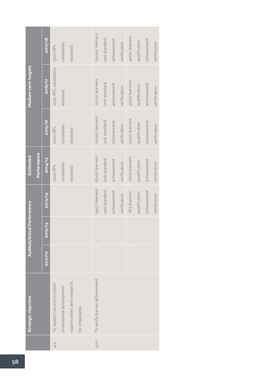|               | Strategic objective           |         | <b>Audited/Actual</b> | <b>Performance</b> | <b>Estimated</b> |                | Medium-term targets   |                |
|---------------|-------------------------------|---------|-----------------------|--------------------|------------------|----------------|-----------------------|----------------|
|               |                               |         |                       |                    | Performance      |                |                       |                |
|               |                               | 2011/12 | 2012/13               | 2013/14            | 2014/15          | 2015/16        | 2016/17               | 2017/18        |
| $\frac{1}{4}$ | To support access to better   |         |                       |                    | 1000 RPL         | 1000 RPL       | 1200 RPL candidates   | 1500 RPL       |
|               | professional development      |         |                       |                    | candidates       | candidates     | assessed              | candidates     |
|               | opportunities and prospects   |         |                       |                    | assessed         | assessed       |                       | assessed       |
|               | for employees.                |         |                       |                    |                  |                |                       |                |
|               |                               |         |                       |                    |                  |                |                       |                |
| 4.10          | To verify learner achievement |         | $\mathbf{I}$          | 4907 learners      | 6000 learners    | 10000 learners | <b>I5000</b> learners | 20000 learners |
|               |                               |         |                       | unit standard      | unit standard    | unit standard  | unit standard         | unit standard  |
|               |                               |         |                       | achievement        | achievement      | achievement    | achievement           | achievement    |
|               |                               |         |                       | verification       | verification     | verification   | verification          | verification   |
|               |                               |         | $\mathsf I$           | 763 learners       | 1000 learners    | 2000 learners  | 3000 learners         | 4000 learners  |
|               |                               |         |                       | qualification      | qualification    | qualification  | qualification         | qualification  |
|               |                               |         |                       | achievement        | achievement      | achievement    | achievement           | achievement    |
|               |                               |         |                       | verification       | verification     | verification   | verification          | verification   |
|               |                               |         |                       |                    |                  |                |                       |                |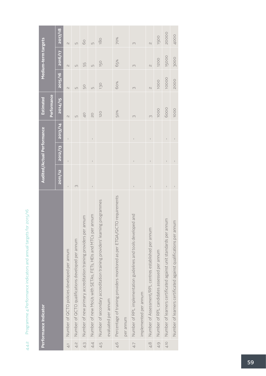|                | Performance Indicator                                                          |              | Audited/Actual Performance |              | <b>Estimated</b>         |                          | Medium-term targets      |                          |
|----------------|--------------------------------------------------------------------------------|--------------|----------------------------|--------------|--------------------------|--------------------------|--------------------------|--------------------------|
|                |                                                                                |              |                            |              | Performance              |                          |                          |                          |
|                |                                                                                | 2011/12      | 2012/13                    | 2013/14      | 2014/15                  | 2015/16                  | 2016/17                  | 2017/18                  |
| $\overline{4}$ | Number of QCTO policies developed per annum                                    | $\mathbf{I}$ | $\bar{1}$                  | $\mathbf{I}$ | $\overline{\mathcal{C}}$ | $\cup$                   | $\cup$                   | $\sim$                   |
| $\overline{4}$ | Number of QCTO qualifications developed per annum                              | $\infty$     |                            |              | LN                       | $\sqrt{ }$               | $\sqrt{ }$               | $\sqrt{ }$               |
| 4.3            | Number of new primary accreditation training providers per annum               |              |                            |              | $\frac{1}{2}$            | 50                       | 55                       | 60                       |
| 4.4            | annum<br>Number of new MoUs with SETAs, FETs, HEIs and MTCs per                |              | $\mathbf{I}$               | $\bar{1}$    | $\frac{0}{2}$            | $\cup$                   | $\cup$                   | $\sqrt{ }$               |
| 4.5            | ag programmes<br>Number of secondary accreditation training providers' learnin |              |                            |              | 120                      | 130                      | 150                      | 180                      |
|                | evaluated per annum                                                            |              |                            |              |                          |                          |                          |                          |
| 4.6            | Percentage of training providers monitored as per ETQA/QCTO requirements       |              |                            |              | 50%                      | 60%                      | 65%                      | 70%                      |
|                | per annum                                                                      |              |                            |              |                          |                          |                          |                          |
| 4.7            | Number of RPL implementation guidelines and tools developed and                |              | $\mathbf{I}$               | $\mathbf{I}$ | $\infty$                 | $\infty$                 | $\infty$                 | $\infty$                 |
|                | implemented per annum                                                          |              |                            |              |                          |                          |                          |                          |
| 4.8            | Number of Assessment/RPL centres established per annum                         |              | ï                          | $\mathsf I$  | $\infty$                 | $\overline{\mathcal{C}}$ | $\overline{\mathcal{C}}$ | $\overline{\mathcal{C}}$ |
| 4.9            | Number of RPL candidates assessed per annum                                    |              |                            |              | 1000                     | 1000                     | 1200                     | 1500                     |
| 4.10           | Number of learners certificated against unit standards per annum               |              | $\overline{1}$             | $\mathbf{I}$ | 6000                     | 10000                    | 15000                    | 20000                    |
|                | Number of learners certificated against qualifications per annum               |              |                            |              | 1000                     | 2000                     | 3000                     | 4000                     |

## Programme 4 Performance indicators and annual targets for 2015/16 4.4.2 Programme 4 Performance indicators and annual targets for 2015/16  $4.4.2$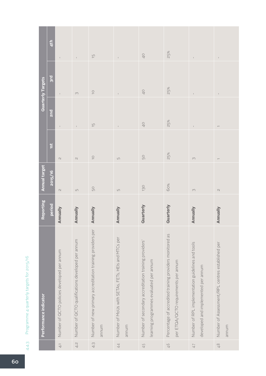|                          | 4 <sup>th</sup>              |                                             | $\mathbb{F}$                                      | $\overline{\Box}$                                                    | $\mathbb{L}$                                                | $\frac{1}{2}$                                                                                    | 25%                                                                                              | $\mathbb{I}$                                                                             | $\mathbb{I}$                                              |
|--------------------------|------------------------------|---------------------------------------------|---------------------------------------------------|----------------------------------------------------------------------|-------------------------------------------------------------|--------------------------------------------------------------------------------------------------|--------------------------------------------------------------------------------------------------|------------------------------------------------------------------------------------------|-----------------------------------------------------------|
| <b>Quarterly Targets</b> | $\overline{\phantom{a}3}$ rd |                                             | $\infty$                                          | $\overline{C}$                                                       | $\mathbb{I}$                                                | 40                                                                                               | 25%                                                                                              | $\mathbb{I}$                                                                             | $\mathbb{I}$                                              |
|                          | <b>Purz</b>                  |                                             | $\mathbb{F}$                                      | $\overline{\Box}$                                                    | $\mathsf I$                                                 | 40                                                                                               | 25%                                                                                              | $\mathsf I$                                                                              |                                                           |
|                          | 1st                          | $\mathcal{N}$                               | $\mathcal{N}$                                     | $\overline{C}$                                                       | $\Box$                                                      | 50                                                                                               | 25%                                                                                              | $\curvearrowright$                                                                       |                                                           |
| <b>Annual target</b>     | 2015/16                      | $\mathrel{\ensuremath{\mathcal{M}}}$        | $\mathsf{L}\cap$                                  | 50                                                                   | $\Box$                                                      | 130                                                                                              | 60%                                                                                              | $\curvearrowright$                                                                       | $\mathcal{N}$                                             |
| Reporting                | <b>Period</b>                | Annually                                    | Annually                                          | Annually                                                             | Annually                                                    | Quarterly                                                                                        | Quarterly                                                                                        | Annually                                                                                 | Annually                                                  |
| Performance indicator    |                              | Number of QCTO policies developed per annum | Number of QCTO qualifications developed per annum | Number of new primary accreditation training providers per<br>mundra | Number of MoUs with SETAs, FETs, HEIs and MTCs per<br>munum | Number of secondary accreditation training providers'<br>learning programmes evaluated per annum | Percentage of accredited training providers monitored as<br>per ETQA/QCTO requirements per annum | Number of RPL implementation guidelines and tools<br>developed and implemented per annum | Number of Assessment/RPL centres established per<br>munua |
|                          |                              | $\overline{4}$                              | 4.2                                               | 4.3                                                                  | 4.4                                                         | 45                                                                                               | $\frac{9}{7}$                                                                                    | $4 - 7$                                                                                  | $\frac{8}{4}$                                             |

## Programme 4 quarterly targets for 2015/16 4.4.3 Programme 4 quarterly targets for 2015/16 4.4.3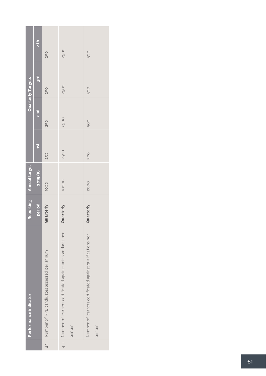|     | Performance indicator                                                    |           | Reporting Annual target |             |             | Quarterly Targets |                 |
|-----|--------------------------------------------------------------------------|-----------|-------------------------|-------------|-------------|-------------------|-----------------|
|     |                                                                          | period    | 2015/16                 | 1st         | <b>and</b>  | 3rd               | 4 <sup>th</sup> |
| 4.9 | Number of RPL candidates assessed per annum                              | Quarterly | 1000                    | 250         | 250         | 250               | 250             |
|     | 4.10 Number of learners certificated against unit standards per<br>annum | Quarterly | 10000                   | <b>2500</b> | <b>2500</b> | <b>2500</b>       | <b>2500</b>     |
|     | Number of learners certificated against qualifications per<br>munum      | Quarterly | 2000                    | 500         | 500         | 500               | 500             |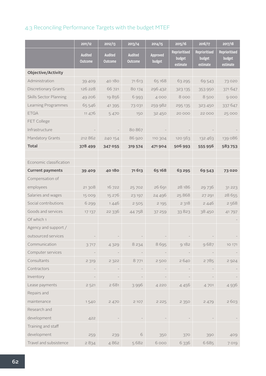#### 4.3 Reconciling Performance Targets with the budget MTEF

|                               | 2011/12                          | 2012/13                          | 2013/14                          | 2014/15                   | 2015/16                             | 2016/17                             | 2017/18                             |
|-------------------------------|----------------------------------|----------------------------------|----------------------------------|---------------------------|-------------------------------------|-------------------------------------|-------------------------------------|
|                               | <b>Audited</b><br><b>Outcome</b> | <b>Audited</b><br><b>Outcome</b> | <b>Audited</b><br><b>Outcome</b> | <b>Approved</b><br>budget | Reprioritised<br>budget<br>estimate | Reprioritised<br>budget<br>estimate | Reprioritised<br>budget<br>estimate |
| <b>Objective/Activity</b>     |                                  |                                  |                                  |                           |                                     |                                     |                                     |
| Administration                | 39 4 0 9                         | 40180                            | 71613                            | 65 168                    | 63 295                              | 69 543                              | 73 0 20                             |
| Discretionary Grants          | 126 228                          | 66 721                           | 80 174                           | 296 432                   | 323 135                             | 353 950                             | 371647                              |
| <b>Skills Sector Planning</b> | 49 206                           | 19856                            | 6993                             | 4 0 0 0                   | 8000                                | 8500                                | 9000                                |
| Learning Programmes           | 65 546                           | 41 3 95                          | 73 031                           | 259 982                   | 295 135                             | 323 450                             | 337 647                             |
| <b>ETQA</b>                   | 11 476                           | 5 4 7 0                          | 150                              | 32 450                    | 20 000                              | 22 000                              | 25 000                              |
| FET College                   |                                  |                                  |                                  |                           |                                     |                                     |                                     |
| Infrastructure                |                                  |                                  | 80 867                           |                           |                                     |                                     |                                     |
| Mandatory Grants              | 212 862                          | 240 154                          | 86 920                           | 110 304                   | 120 563                             | 132 463                             | 139 086                             |
| <b>Total</b>                  | 378 499                          | 347 055                          | 319 574                          | 471904                    | 506 993                             | 555 956                             | 583753                              |
|                               |                                  |                                  |                                  |                           |                                     |                                     |                                     |
| Economic classification       |                                  |                                  |                                  |                           |                                     |                                     |                                     |
| <b>Current payments</b>       | 39 4 09                          | 40180                            | 71613                            | 65 168                    | 63 295                              | 69 543                              | 73020                               |
| Compensation of               |                                  |                                  |                                  |                           |                                     |                                     |                                     |
| employees                     | 21 308                           | 16722                            | 25702                            | 26 691                    | 28 186                              | 29 736                              | 31 2 23                             |
| Salaries and wages            | 15 009                           | 15 276                           | 23 197                           | 24 4 9 6                  | 25868                               | 27 291                              | 28 655                              |
| Social contributions          | 6299                             | 1446                             | 2505                             | 2 1 9 5                   | 2 3 1 8                             | 2446                                | 2568                                |
| Goods and services            | 17 137                           | 22 3 3 6                         | 44758                            | 37 259                    | 33823                               | 38 450                              | 41797                               |
| Of which 1                    |                                  |                                  |                                  |                           |                                     |                                     |                                     |
| Agency and support /          |                                  |                                  |                                  |                           |                                     |                                     |                                     |
| outsourced services           |                                  |                                  |                                  |                           |                                     |                                     |                                     |
| Communication                 | 3717                             | 4329                             | 8 2 3 4                          | 8695                      | 9182                                | 9687                                | 10 171                              |
| Computer services             |                                  |                                  |                                  |                           |                                     |                                     |                                     |
| Consultants                   | 2 3 1 9                          | 2 3 2 2                          | 8771                             | 2500                      | 2640                                | 2785                                | 2 9 2 4                             |
| Contractors                   |                                  |                                  |                                  |                           |                                     |                                     |                                     |
| Inventory                     |                                  |                                  |                                  |                           |                                     |                                     |                                     |
| Lease payments                | 2 5 21                           | 2681                             | 3996                             | 4 2 2 0                   | 4 4 5 6                             | 4701                                | 4 9 3 6                             |
| Repairs and                   |                                  |                                  |                                  |                           |                                     |                                     |                                     |
| maintenance                   | 1540                             | 2 470                            | 2 107                            | 2 2 2 5                   | 2 3 5 0                             | 2 4 7 9                             | 2603                                |
| Research and                  |                                  |                                  |                                  |                           |                                     |                                     |                                     |
| development                   | 422                              |                                  |                                  |                           |                                     |                                     |                                     |
| Training and staff            |                                  |                                  |                                  |                           |                                     |                                     |                                     |
| development                   | 259                              | 239                              | $\sqrt{6}$                       | 350                       | 370                                 | 390                                 | 409                                 |
| Travel and subsistence        | 2834                             | 4862                             | 5682                             | 6000                      | 6 3 3 6                             | 6685                                | 7019                                |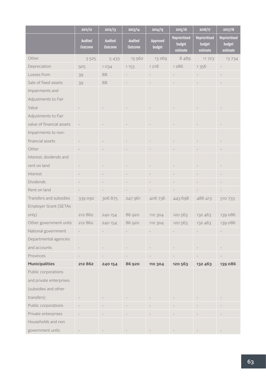|                           | 2011/12                          | 2012/13            | 2013/14                   | 2014/15            | 2015/16                                    | 2016/17                             | 2017/18                             |
|---------------------------|----------------------------------|--------------------|---------------------------|--------------------|--------------------------------------------|-------------------------------------|-------------------------------------|
|                           | <b>Audited</b><br><b>Outcome</b> | Audited<br>Outcome | <b>Audited</b><br>Outcome | Approved<br>budget | <b>Reprioritised</b><br>budget<br>estimate | Reprioritised<br>budget<br>estimate | Reprioritised<br>budget<br>estimate |
| Other                     | 3525                             | 5 4 3 3            | 15 962                    | 13 26 9            | 8489                                       | 11 7 2 3                            | 13734                               |
| Depreciation              | 925                              | 1034               | 1153                      | 1 2 1 8            | 1286                                       | 1356                                |                                     |
| Losses from               | 39                               | 88                 |                           |                    |                                            |                                     |                                     |
| Sale of fixed assets      | 39                               | 88                 |                           |                    |                                            |                                     |                                     |
| Impairments and           |                                  |                    |                           |                    |                                            |                                     |                                     |
| Adjustments to Fair       |                                  |                    |                           |                    |                                            |                                     |                                     |
| Value                     |                                  |                    |                           |                    |                                            |                                     |                                     |
| Adjustments to Fair       |                                  |                    |                           |                    |                                            |                                     |                                     |
| value of financial assets |                                  |                    |                           |                    |                                            |                                     |                                     |
| Impairments to non-       |                                  |                    |                           |                    |                                            |                                     |                                     |
| financial assets          |                                  |                    |                           |                    |                                            |                                     |                                     |
| Other                     |                                  |                    |                           |                    |                                            |                                     |                                     |
| Interest, dividends and   |                                  |                    |                           |                    |                                            |                                     |                                     |
| rent on land              |                                  |                    |                           |                    |                                            |                                     |                                     |
| Interest                  |                                  |                    |                           |                    |                                            |                                     |                                     |
| <b>Dividends</b>          |                                  |                    |                           |                    |                                            |                                     |                                     |
| Rent on land              |                                  |                    |                           |                    |                                            |                                     |                                     |
| Transfers and subsidies   | 339 090                          | 306875             | 247 961                   | 406 736            | 443 698                                    | 486 413                             | 510 733                             |
| Employer Grant (SETAs     |                                  |                    |                           |                    |                                            |                                     |                                     |
| only)                     | 212 862                          | 240 154            | 86 920                    | 110 304            | 120 563                                    | 132 463                             | 139 086                             |
| Other government units    | 212 862                          | 240 154            | 86 920                    | 110 304            | 120 563                                    | 132 463                             | 139 086                             |
| National government       |                                  |                    |                           |                    |                                            |                                     |                                     |
| Departmental agencies     |                                  |                    |                           |                    |                                            |                                     |                                     |
| and accounts              |                                  |                    |                           |                    |                                            |                                     |                                     |
| Provinces                 |                                  |                    |                           |                    |                                            |                                     |                                     |
| <b>Municipalities</b>     | 212 862                          | 240 154            | 86 920                    | 110 304            | 120 563                                    | 132 463                             | 139 086                             |
| Public corporations       |                                  |                    |                           |                    |                                            |                                     |                                     |
| and private enterprises   |                                  |                    |                           |                    |                                            |                                     |                                     |
| (subsidies and other      |                                  |                    |                           |                    |                                            |                                     |                                     |
| transfers)                |                                  |                    |                           |                    |                                            |                                     |                                     |
| Public corporations       |                                  |                    |                           |                    |                                            |                                     |                                     |
| Private enterprises       |                                  |                    |                           |                    |                                            |                                     |                                     |
| Households and non        |                                  |                    |                           |                    |                                            |                                     |                                     |
| government units          |                                  |                    |                           |                    |                                            |                                     |                                     |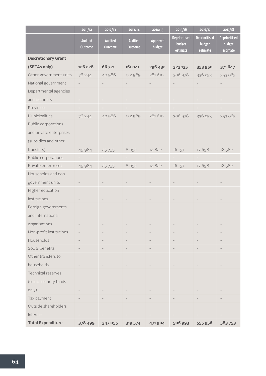|                            | 2011/12                   | 2012/13                   | 2013/14                          | 2014/15            | 2015/16                             | 2016/17                             | 2017/18                             |
|----------------------------|---------------------------|---------------------------|----------------------------------|--------------------|-------------------------------------|-------------------------------------|-------------------------------------|
|                            | <b>Audited</b><br>Outcome | <b>Audited</b><br>Outcome | <b>Audited</b><br><b>Outcome</b> | Approved<br>budget | Reprioritised<br>budget<br>estimate | Reprioritised<br>budget<br>estimate | Reprioritised<br>budget<br>estimate |
| <b>Discretionary Grant</b> |                           |                           |                                  |                    |                                     |                                     |                                     |
| (SETAs only)               | 126 228                   | 66 721                    | 161 041                          | 296 432            | 323135                              | 353950                              | 371647                              |
| Other government units     | 76 244                    | 40 986                    | 152 989                          | 281 610            | 306 978                             | 336 253                             | 353 065                             |
| National government        |                           |                           |                                  |                    |                                     |                                     |                                     |
| Departmental agencies      |                           |                           |                                  |                    |                                     |                                     |                                     |
| and accounts               |                           |                           |                                  |                    |                                     |                                     |                                     |
| Provinces                  |                           |                           |                                  |                    |                                     |                                     |                                     |
| Municipalities             | 76 244                    | 40 986                    | 152 989                          | 281610             | 306 978                             | 336 253                             | 353 065                             |
| Public corporations        |                           |                           |                                  |                    |                                     |                                     |                                     |
| and private enterprises    |                           |                           |                                  |                    |                                     |                                     |                                     |
| (subsidies and other       |                           |                           |                                  |                    |                                     |                                     |                                     |
| transfers)                 | 49 984                    | 25 7 35                   | 8 0 5 2                          | 14822              | 16 157                              | 17698                               | 18582                               |
| Public corporations        |                           |                           |                                  |                    |                                     |                                     |                                     |
| Private enterprises        | 49 984                    | 25 7 35                   | 8 0 5 2                          | 14822              | 16 157                              | 17698                               | 18 5 8 2                            |
| Households and non         |                           |                           |                                  |                    |                                     |                                     |                                     |
| government units           |                           |                           |                                  |                    |                                     |                                     |                                     |
| Higher education           |                           |                           |                                  |                    |                                     |                                     |                                     |
| institutions               |                           |                           |                                  |                    |                                     |                                     |                                     |
| Foreign governments        |                           |                           |                                  |                    |                                     |                                     |                                     |
| and international          |                           |                           |                                  |                    |                                     |                                     |                                     |
| organisations              |                           |                           |                                  |                    |                                     |                                     |                                     |
| Non-profit institutions    |                           |                           |                                  |                    |                                     |                                     |                                     |
| Households                 |                           |                           |                                  |                    |                                     |                                     |                                     |
| Social benefits            |                           |                           |                                  |                    |                                     |                                     |                                     |
| Other transfers to         |                           |                           |                                  |                    |                                     |                                     |                                     |
| households                 |                           |                           |                                  |                    |                                     |                                     |                                     |
| Technical reserves         |                           |                           |                                  |                    |                                     |                                     |                                     |
| (social security funds     |                           |                           |                                  |                    |                                     |                                     |                                     |
| only)                      |                           |                           |                                  |                    |                                     |                                     |                                     |
| Tax payment                |                           |                           |                                  |                    |                                     |                                     |                                     |
| Outside shareholders       |                           |                           |                                  |                    |                                     |                                     |                                     |
| Interest                   |                           |                           |                                  |                    |                                     |                                     |                                     |
| <b>Total Expenditure</b>   | 378 499                   | 347 055                   | 319 574                          | 471904             | 506 993                             | 555 956                             | 583753                              |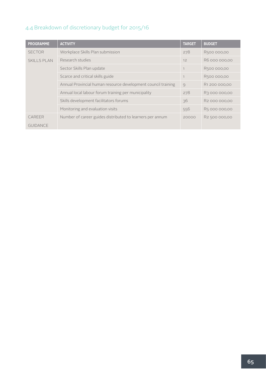#### 4.4 Breakdown of discretionary budget for 2015/16

| <b>PROGRAMME</b>   | <b>ACTIVITY</b>                                               | <b>TARGET</b> | <b>BUDGET</b>             |
|--------------------|---------------------------------------------------------------|---------------|---------------------------|
| <b>SECTOR</b>      | Workplace Skills Plan submission                              | 278           | R500 000,00               |
| <b>SKILLS PLAN</b> | Research studies                                              | 12            | R6 000 000,00             |
|                    | Sector Skills Plan update                                     |               | R500 000,00               |
|                    | Scarce and critical skills guide                              |               | R500 000,00               |
|                    | Annual Provincial human resource development council training | $\circ$       | R1 200 000,00             |
|                    | Annual local labour forum training per municipality           | 278           | R3 000 000,00             |
|                    | Skills development facilitators forums                        | 36            | R <sub>2</sub> 000 000,00 |
|                    | Monitoring and evaluation visits                              | 556           | R5 000 000,00             |
| CAREER             | Number of career guides distributed to learners per annum     | 20000         | R2 500 000,00             |
| <b>GUIDANCE</b>    |                                                               |               |                           |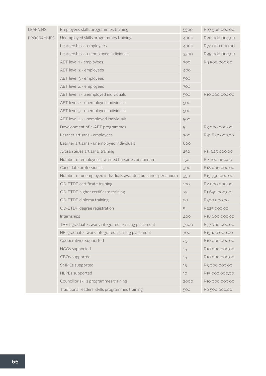| <b>LEARNING</b>   | Employees skills programmes training                         | 5500 | R27 500 000,00 |
|-------------------|--------------------------------------------------------------|------|----------------|
| <b>PROGRAMMES</b> | Unemployed skills programmes training                        | 4000 | R20 000 000,00 |
|                   | Learnerships - employees                                     | 4000 | R72 000 000,00 |
|                   | Learnerships - unemployed individuals                        | 3300 | R99 000 000,00 |
|                   | AET level 1 - employees                                      | 300  | R9 500 000,00  |
|                   | AET level 2 - employees                                      | 400  |                |
|                   | AET level 3 - employees                                      | 500  |                |
|                   | AET level 4 - employees                                      | 700  |                |
|                   | AET level 1 - unemployed individuals                         | 500  | R10 000 000,00 |
|                   | AET level 2 - unemployed individuals                         | 500  |                |
|                   | AET level 3 - unemployed individuals                         | 500  |                |
|                   | AET level $4$ - unemployed individuals                       |      |                |
|                   | Development of e-AET programmes                              | 5    | R3 000 000,00  |
|                   | Learner artisans - employees                                 | 300  | R41850000,00   |
|                   | Learner artisans - unemployed individuals                    | 600  |                |
|                   | Artisan aides artisanal training                             | 250  | R11 625 000,00 |
|                   | Number of employees awarded bursaries per annum              | 150  | R2 700 000,00  |
|                   | Candidate professionals                                      | 300  | R18 000 000,00 |
|                   | Number of unemployed individuals awarded bursaries per annum | 350  | R15 750 000,00 |
|                   | OD-ETDP certificate training                                 | 100  | R2 000 000,00  |
|                   | OD-ETDP higher certificate training                          | 75   | R1 650 000,00  |
|                   | OD-ETDP diploma training                                     | 20   | R500 000,00    |
|                   | OD-ETDP degree registration                                  | 5    | R225 000,00    |
|                   | Internships                                                  | 400  | R18 600 000,00 |
|                   | TVET graduates work integrated learning placement            | 3600 | R77 760 000,00 |
|                   | HEI graduates work integrated learning placement             | 700  | R15 120 000,00 |
|                   | Cooperatives supported                                       | 25   | R10 000 000,00 |
|                   | NGOs supported                                               | 15   | R10 000 000,00 |
|                   | CBOs supported                                               | 15   | R10 000 000,00 |
|                   | SMMEs supported                                              | 15   | R5 000 000,00  |
|                   | NLPEs supported                                              | 10   | R15 000 000,00 |
|                   | Councillor skills programmes training                        | 2000 | R10 000 000,00 |
|                   | Traditional leaders' skills programmes training              | 500  | R2 500 000,00  |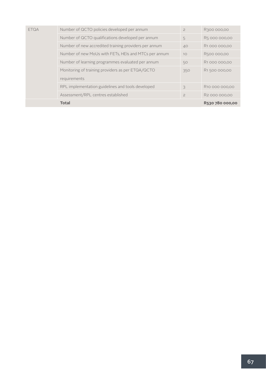| <b>ETQA</b> | Number of QCTO policies developed per annum           | $\overline{c}$ | R300 000,00                |
|-------------|-------------------------------------------------------|----------------|----------------------------|
|             | Number of QCTO qualifications developed per annum     | 5              | R5 000 000,00              |
|             | Number of new accredited training providers per annum | 40             | R1 000 000,00              |
|             | Number of new MoUs with FETs, HEIs and MTCs per annum | 10             | R500 000,00                |
|             | Number of learning programmes evaluated per annum     | 50             | R <sub>1</sub> 000 000,00  |
|             | Monitoring of training providers as per ETQA/QCTO     | 350            | R1500000,00                |
|             | requirements                                          |                |                            |
|             | RPL implementation guidelines and tools developed     | 3              | R <sub>10</sub> 000 000,00 |
|             | Assessment/RPL centres established                    | $\geq$         | R <sub>2</sub> 000 000,00  |
|             | <b>Total</b>                                          |                | R530 780 000,00            |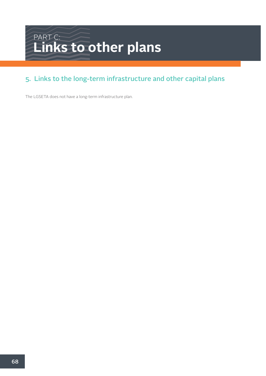### PART C: **Links to other plans**

#### 5. Links to the long-term infrastructure and other capital plans

The LGSETA does not have a long-term infrastructure plan.